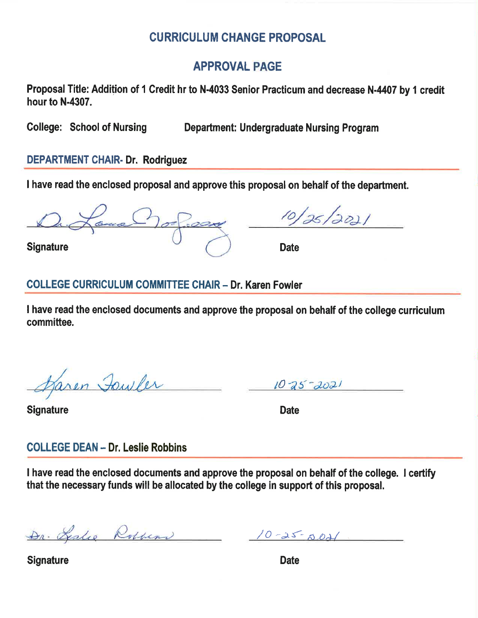# **CURRICULUM CHANGE PROPOSAL**

# **APPROVAL PAGE**

Proposal Title: Addition of 1 Credit hr to N-4033 Senior Practicum and decrease N-4407 by 1 credit hour to N-4307.

**College: School of Nursing** 

**Department: Undergraduate Nursing Program** 

# **DEPARTMENT CHAIR- Dr. Rodriguez**

I have read the enclosed proposal and approve this proposal on behalf of the department.

**Signature** 

**Date** 

# **COLLEGE CURRICULUM COMMITTEE CHAIR - Dr. Karen Fowler**

I have read the enclosed documents and approve the proposal on behalf of the college curriculum committee.

Karen Towler

 $10 - 25 - 2021$ 

**Signature** 

**Date** 

# **COLLEGE DEAN - Dr. Leslie Robbins**

I have read the enclosed documents and approve the proposal on behalf of the college. I certify that the necessary funds will be allocated by the college in support of this proposal.

Dr. Leslie Robbens 10-25-5021

**Signature** 

**Date**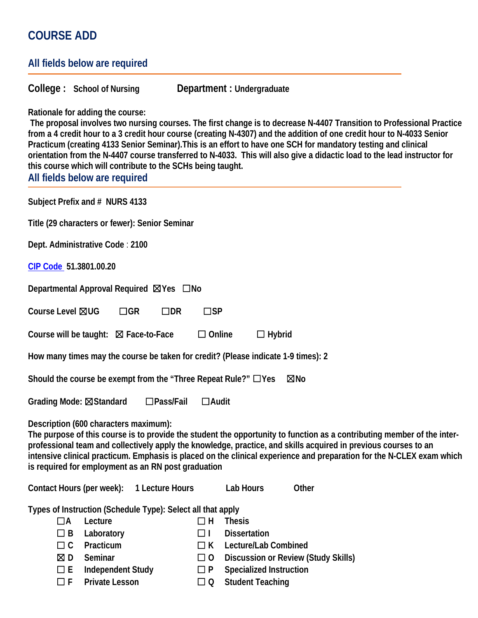# **COURSE ADD**

| All fields below are required                                                                                                                                                                                                                                |                                                                                                                                                                                                                                                                                                                                                                                                                                                                                              |
|--------------------------------------------------------------------------------------------------------------------------------------------------------------------------------------------------------------------------------------------------------------|----------------------------------------------------------------------------------------------------------------------------------------------------------------------------------------------------------------------------------------------------------------------------------------------------------------------------------------------------------------------------------------------------------------------------------------------------------------------------------------------|
| College: School of Nursing                                                                                                                                                                                                                                   | Department : Undergraduate                                                                                                                                                                                                                                                                                                                                                                                                                                                                   |
| Rationale for adding the course:<br>this course which will contribute to the SCHs being taught.<br>All fields below are required                                                                                                                             | The proposal involves two nursing courses. The first change is to decrease N-4407 Transition to Professional Practice<br>from a 4 credit hour to a 3 credit hour course (creating N-4307) and the addition of one credit hour to N-4033 Senior<br>Practicum (creating 4133 Senior Seminar). This is an effort to have one SCH for mandatory testing and clinical<br>orientation from the N-4407 course transferred to N-4033. This will also give a didactic load to the lead instructor for |
| Subject Prefix and # NURS 4133                                                                                                                                                                                                                               |                                                                                                                                                                                                                                                                                                                                                                                                                                                                                              |
| Title (29 characters or fewer): Senior Seminar                                                                                                                                                                                                               |                                                                                                                                                                                                                                                                                                                                                                                                                                                                                              |
| Dept. Administrative Code: 2100                                                                                                                                                                                                                              |                                                                                                                                                                                                                                                                                                                                                                                                                                                                                              |
| CIP Code 51.3801.00.20                                                                                                                                                                                                                                       |                                                                                                                                                                                                                                                                                                                                                                                                                                                                                              |
| Departmental Approval Required ⊠Yes □ No                                                                                                                                                                                                                     |                                                                                                                                                                                                                                                                                                                                                                                                                                                                                              |
| Course Level ⊠UG<br>$\Box$ GR<br>$\square$ DR                                                                                                                                                                                                                | $\square$ SP                                                                                                                                                                                                                                                                                                                                                                                                                                                                                 |
| Course will be taught: $\boxtimes$ Face-to-Face                                                                                                                                                                                                              | $\Box$ Online<br>$\Box$ Hybrid                                                                                                                                                                                                                                                                                                                                                                                                                                                               |
| How many times may the course be taken for credit? (Please indicate 1-9 times): 2                                                                                                                                                                            |                                                                                                                                                                                                                                                                                                                                                                                                                                                                                              |
| Should the course be exempt from the "Three Repeat Rule?" $\Box$ Yes                                                                                                                                                                                         | $\boxtimes$ No                                                                                                                                                                                                                                                                                                                                                                                                                                                                               |
| $\square$ Pass/Fail<br>Grading Mode: ⊠Standard                                                                                                                                                                                                               | $\Box$ Audit                                                                                                                                                                                                                                                                                                                                                                                                                                                                                 |
| Description (600 characters maximum):<br>is required for employment as an RN post graduation                                                                                                                                                                 | The purpose of this course is to provide the student the opportunity to function as a contributing member of the inter-<br>professional team and collectively apply the knowledge, practice, and skills acquired in previous courses to an<br>intensive clinical practicum. Emphasis is placed on the clinical experience and preparation for the N-CLEX exam which                                                                                                                          |
| Contact Hours (per week):<br>1 Lecture Hours                                                                                                                                                                                                                 | Other<br><b>Lab Hours</b>                                                                                                                                                                                                                                                                                                                                                                                                                                                                    |
| Types of Instruction (Schedule Type): Select all that apply<br>Lecture<br>$\Box$ H<br>$\Box A$<br>$\Box$ B<br>Laboratory<br>ПL<br>Practicum<br>$\Box$ $C$<br>$\Box$ K<br>Seminar<br>$\boxtimes$ D<br>$\Box$ 0<br><b>Independent Study</b><br>□ E<br>$\Box P$ | <b>Thesis</b><br><b>Dissertation</b><br>Lecture/Lab Combined<br>Discussion or Review (Study Skills)<br><b>Specialized Instruction</b>                                                                                                                                                                                                                                                                                                                                                        |

☐ **F Private Lesson** ☐ **Q Student Teaching**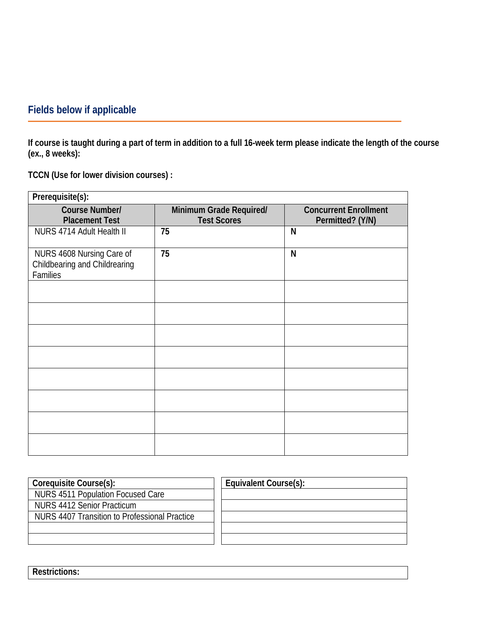# **Fields below if applicable**

**If course is taught during a part of term in addition to a full 16-week term please indicate the length of the course (ex., 8 weeks):**

**TCCN (Use for lower division courses) :**

| Prerequisite(s):                                                       |                                               |                                                  |
|------------------------------------------------------------------------|-----------------------------------------------|--------------------------------------------------|
| Course Number/<br><b>Placement Test</b>                                | Minimum Grade Required/<br><b>Test Scores</b> | <b>Concurrent Enrollment</b><br>Permitted? (Y/N) |
| NURS 4714 Adult Health II                                              | 75                                            | N                                                |
| NURS 4608 Nursing Care of<br>Childbearing and Childrearing<br>Families | 75                                            | N                                                |
|                                                                        |                                               |                                                  |
|                                                                        |                                               |                                                  |
|                                                                        |                                               |                                                  |
|                                                                        |                                               |                                                  |
|                                                                        |                                               |                                                  |
|                                                                        |                                               |                                                  |
|                                                                        |                                               |                                                  |
|                                                                        |                                               |                                                  |

| Coreguisite Course(s):                        | Equivalent Course(s): |
|-----------------------------------------------|-----------------------|
| NURS 4511 Population Focused Care             |                       |
| NURS 4412 Senior Practicum                    |                       |
| NURS 4407 Transition to Professional Practice |                       |
|                                               |                       |
|                                               |                       |
|                                               |                       |

**Restrictions:**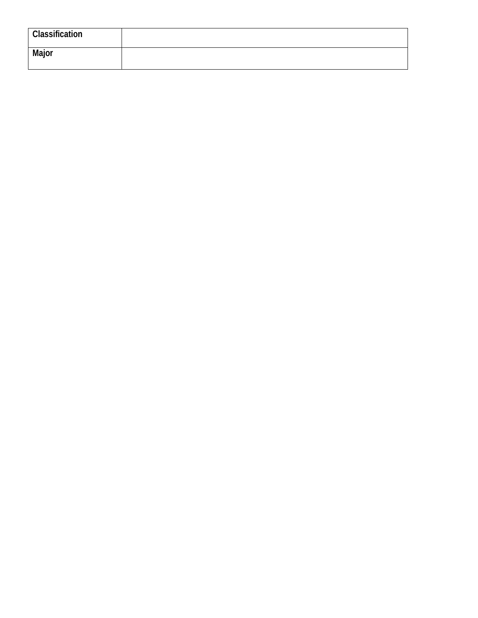| <b>Classification</b> |  |
|-----------------------|--|
| Major                 |  |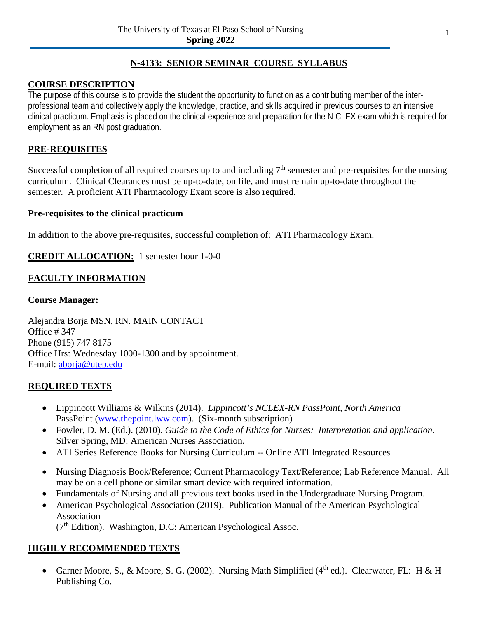## **N-4133: SENIOR SEMINAR COURSE SYLLABUS**

## **COURSE DESCRIPTION**

The purpose of this course is to provide the student the opportunity to function as a contributing member of the interprofessional team and collectively apply the knowledge, practice, and skills acquired in previous courses to an intensive clinical practicum. Emphasis is placed on the clinical experience and preparation for the N-CLEX exam which is required for employment as an RN post graduation.

## **PRE-REQUISITES**

Successful completion of all required courses up to and including  $7<sup>th</sup>$  semester and pre-requisites for the nursing curriculum. Clinical Clearances must be up-to-date, on file, and must remain up-to-date throughout the semester. A proficient ATI Pharmacology Exam score is also required.

## **Pre-requisites to the clinical practicum**

In addition to the above pre-requisites, successful completion of: ATI Pharmacology Exam.

## **CREDIT ALLOCATION:** 1 semester hour 1-0-0

## **FACULTY INFORMATION**

## **Course Manager:**

Alejandra Borja MSN, RN. MAIN CONTACT Office # 347 Phone (915) 747 8175 Office Hrs: Wednesday 1000-1300 and by appointment. E-mail: [aborja@utep.edu](mailto:aborja@utep.edu)

## **REQUIRED TEXTS**

- Lippincott Williams & Wilkins (2014). *Lippincott's NCLEX-RN PassPoint, North America* PassPoint [\(www.thepoint.lww.com\)](http://www.thepoint.lww.com/). (Six-month subscription)
- Fowler, D. M. (Ed.). (2010). *Guide to the Code of Ethics for Nurses: Interpretation and application*. Silver Spring, MD: American Nurses Association.
- ATI Series Reference Books for Nursing Curriculum -- Online ATI Integrated Resources
- Nursing Diagnosis Book/Reference; Current Pharmacology Text/Reference; Lab Reference Manual. All may be on a cell phone or similar smart device with required information.
- Fundamentals of Nursing and all previous text books used in the Undergraduate Nursing Program.
- American Psychological Association (2019). Publication Manual of the American Psychological Association

 $(7<sup>th</sup> Edition)$ . Washington, D.C: American Psychological Assoc.

## **HIGHLY RECOMMENDED TEXTS**

• Garner Moore, S., & Moore, S. G. (2002). Nursing Math Simplified ( $4<sup>th</sup>$  ed.). Clearwater, FL: H & H Publishing Co.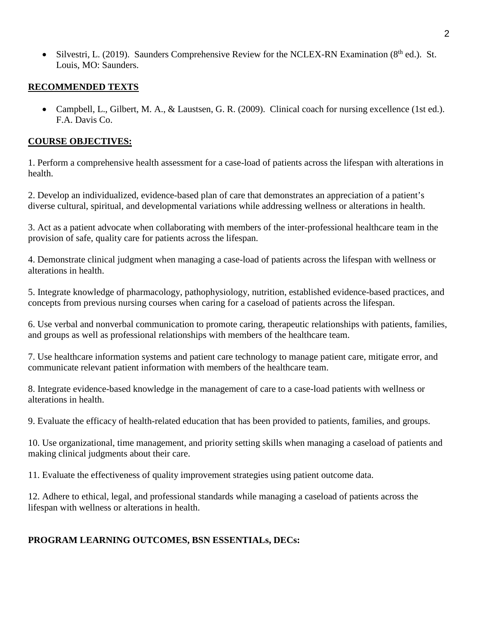• Silvestri, L. (2019). Saunders Comprehensive Review for the NCLEX-RN Examination ( $8<sup>th</sup>$  ed.). St. Louis, MO: Saunders.

## **RECOMMENDED TEXTS**

• Campbell, L., Gilbert, M. A., & Laustsen, G. R. (2009). Clinical coach for nursing excellence (1st ed.). F.A. Davis Co.

## **COURSE OBJECTIVES:**

1. Perform a comprehensive health assessment for a case-load of patients across the lifespan with alterations in health.

2. Develop an individualized, evidence-based plan of care that demonstrates an appreciation of a patient's diverse cultural, spiritual, and developmental variations while addressing wellness or alterations in health.

3. Act as a patient advocate when collaborating with members of the inter-professional healthcare team in the provision of safe, quality care for patients across the lifespan.

4. Demonstrate clinical judgment when managing a case-load of patients across the lifespan with wellness or alterations in health.

5. Integrate knowledge of pharmacology, pathophysiology, nutrition, established evidence-based practices, and concepts from previous nursing courses when caring for a caseload of patients across the lifespan.

6. Use verbal and nonverbal communication to promote caring, therapeutic relationships with patients, families, and groups as well as professional relationships with members of the healthcare team.

7. Use healthcare information systems and patient care technology to manage patient care, mitigate error, and communicate relevant patient information with members of the healthcare team.

8. Integrate evidence-based knowledge in the management of care to a case-load patients with wellness or alterations in health.

9. Evaluate the efficacy of health-related education that has been provided to patients, families, and groups.

10. Use organizational, time management, and priority setting skills when managing a caseload of patients and making clinical judgments about their care.

11. Evaluate the effectiveness of quality improvement strategies using patient outcome data.

12. Adhere to ethical, legal, and professional standards while managing a caseload of patients across the lifespan with wellness or alterations in health.

## **PROGRAM LEARNING OUTCOMES, BSN ESSENTIALs, DECs:**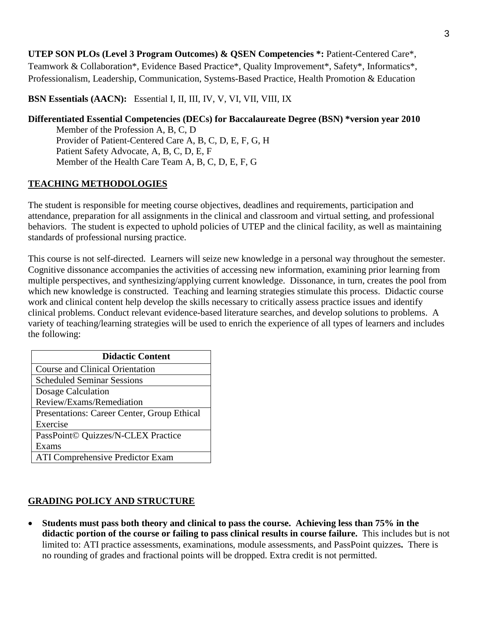**UTEP SON PLOs (Level 3 Program Outcomes) & QSEN Competencies \*:** Patient-Centered Care\*, Teamwork & Collaboration\*, Evidence Based Practice\*, Quality Improvement\*, Safety\*, Informatics\*, Professionalism, Leadership, Communication, Systems-Based Practice, Health Promotion & Education

**BSN Essentials (AACN):** Essential I, II, III, IV, V, VI, VII, VIII, IX

## **Differentiated Essential Competencies (DECs) for Baccalaureate Degree (BSN) \*version year 2010** Member of the Profession A, B, C, D Provider of Patient-Centered Care A, B, C, D, E, F, G, H Patient Safety Advocate, A, B, C, D, E, F Member of the Health Care Team A, B, C, D, E, F, G

## **TEACHING METHODOLOGIES**

The student is responsible for meeting course objectives, deadlines and requirements, participation and attendance, preparation for all assignments in the clinical and classroom and virtual setting, and professional behaviors. The student is expected to uphold policies of UTEP and the clinical facility, as well as maintaining standards of professional nursing practice.

This course is not self-directed. Learners will seize new knowledge in a personal way throughout the semester. Cognitive dissonance accompanies the activities of accessing new information, examining prior learning from multiple perspectives, and synthesizing/applying current knowledge. Dissonance, in turn, creates the pool from which new knowledge is constructed. Teaching and learning strategies stimulate this process. Didactic course work and clinical content help develop the skills necessary to critically assess practice issues and identify clinical problems. Conduct relevant evidence-based literature searches, and develop solutions to problems. A variety of teaching/learning strategies will be used to enrich the experience of all types of learners and includes the following:

| <b>Didactic Content</b>                     |  |  |
|---------------------------------------------|--|--|
| <b>Course and Clinical Orientation</b>      |  |  |
| <b>Scheduled Seminar Sessions</b>           |  |  |
| Dosage Calculation                          |  |  |
| Review/Exams/Remediation                    |  |  |
| Presentations: Career Center, Group Ethical |  |  |
| Exercise                                    |  |  |
| PassPoint© Quizzes/N-CLEX Practice          |  |  |
| Exams                                       |  |  |
| <b>ATI Comprehensive Predictor Exam</b>     |  |  |

## **GRADING POLICY AND STRUCTURE**

• **Students must pass both theory and clinical to pass the course. Achieving less than 75% in the didactic portion of the course or failing to pass clinical results in course failure.** This includes but is not limited to: ATI practice assessments, examinations, module assessments, and PassPoint quizzes**.** There is no rounding of grades and fractional points will be dropped. Extra credit is not permitted.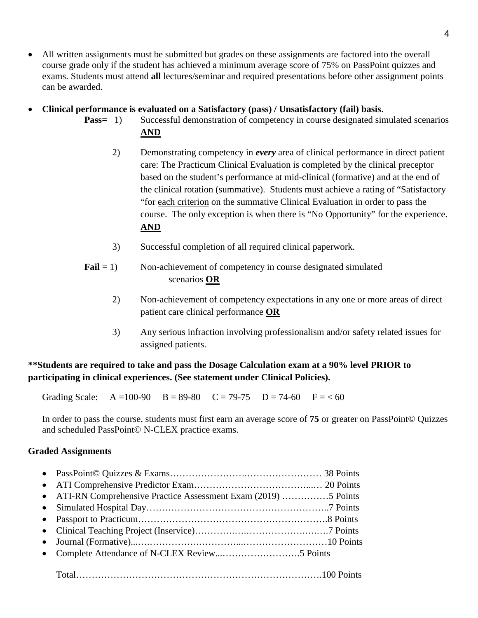- All written assignments must be submitted but grades on these assignments are factored into the overall course grade only if the student has achieved a minimum average score of 75% on PassPoint quizzes and exams. Students must attend **all** lectures/seminar and required presentations before other assignment points can be awarded.
- **Clinical performance is evaluated on a Satisfactory (pass) / Unsatisfactory (fail) basis**.
	- **Pass**= 1) Successful demonstration of competency in course designated simulated scenarios **AND**
		- 2) Demonstrating competency in *every* area of clinical performance in direct patient care: The Practicum Clinical Evaluation is completed by the clinical preceptor based on the student's performance at mid-clinical (formative) and at the end of the clinical rotation (summative). Students must achieve a rating of "Satisfactory "for each criterion on the summative Clinical Evaluation in order to pass the course. The only exception is when there is "No Opportunity" for the experience. **AND**
		- 3) Successful completion of all required clinical paperwork.
	- **Fail** = 1) Non-achievement of competency in course designated simulated scenarios **OR**
		- 2) Non-achievement of competency expectations in any one or more areas of direct patient care clinical performance **OR**
		- 3) Any serious infraction involving professionalism and/or safety related issues for assigned patients.

## **\*\*Students are required to take and pass the Dosage Calculation exam at a 90% level PRIOR to participating in clinical experiences. (See statement under Clinical Policies).**

Grading Scale:  $A = 100-90$   $B = 89-80$   $C = 79-75$   $D = 74-60$   $F = < 60$ 

In order to pass the course, students must first earn an average score of **75** or greater on PassPoint© Quizzes and scheduled PassPoint© N-CLEX practice exams.

## **Graded Assignments**

| • ATI-RN Comprehensive Practice Assessment Exam (2019) 5 Points |  |
|-----------------------------------------------------------------|--|
|                                                                 |  |
|                                                                 |  |
|                                                                 |  |
|                                                                 |  |
|                                                                 |  |
|                                                                 |  |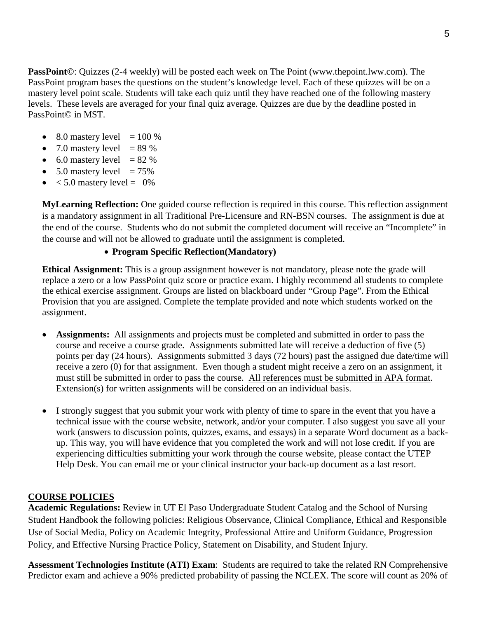**PassPoint©**: Quizzes (2-4 weekly) will be posted each week on The Point (www.thepoint.lww.com). The PassPoint program bases the questions on the student's knowledge level. Each of these quizzes will be on a mastery level point scale. Students will take each quiz until they have reached one of the following mastery levels. These levels are averaged for your final quiz average. Quizzes are due by the deadline posted in PassPoint© in MST.

- 8.0 mastery level  $= 100 \%$
- 7.0 mastery level  $= 89\%$
- 6.0 mastery level  $= 82 \%$
- $5.0$  mastery level  $= 75\%$
- $< 5.0$  mastery level = 0%

**MyLearning Reflection:** One guided course reflection is required in this course. This reflection assignment is a mandatory assignment in all Traditional Pre-Licensure and RN-BSN courses. The assignment is due at the end of the course. Students who do not submit the completed document will receive an "Incomplete" in the course and will not be allowed to graduate until the assignment is completed.

## • **Program Specific Reflection(Mandatory)**

**Ethical Assignment:** This is a group assignment however is not mandatory, please note the grade will replace a zero or a low PassPoint quiz score or practice exam. I highly recommend all students to complete the ethical exercise assignment. Groups are listed on blackboard under "Group Page". From the Ethical Provision that you are assigned. Complete the template provided and note which students worked on the assignment.

- **Assignments:** All assignments and projects must be completed and submitted in order to pass the course and receive a course grade. Assignments submitted late will receive a deduction of five (5) points per day (24 hours). Assignments submitted 3 days (72 hours) past the assigned due date/time will receive a zero (0) for that assignment. Even though a student might receive a zero on an assignment, it must still be submitted in order to pass the course. All references must be submitted in APA format. Extension(s) for written assignments will be considered on an individual basis.
- I strongly suggest that you submit your work with plenty of time to spare in the event that you have a technical issue with the course website, network, and/or your computer. I also suggest you save all your work (answers to discussion points, quizzes, exams, and essays) in a separate Word document as a backup. This way, you will have evidence that you completed the work and will not lose credit. If you are experiencing difficulties submitting your work through the course website, please contact the UTEP Help Desk. You can email me or your clinical instructor your back-up document as a last resort.

## **COURSE POLICIES**

**Academic Regulations:** Review in UT El Paso Undergraduate Student Catalog and the School of Nursing Student Handbook the following policies: Religious Observance, Clinical Compliance, Ethical and Responsible Use of Social Media, Policy on Academic Integrity, Professional Attire and Uniform Guidance, Progression Policy, and Effective Nursing Practice Policy, Statement on Disability, and Student Injury.

**Assessment Technologies Institute (ATI) Exam**: Students are required to take the related RN Comprehensive Predictor exam and achieve a 90% predicted probability of passing the NCLEX. The score will count as 20% of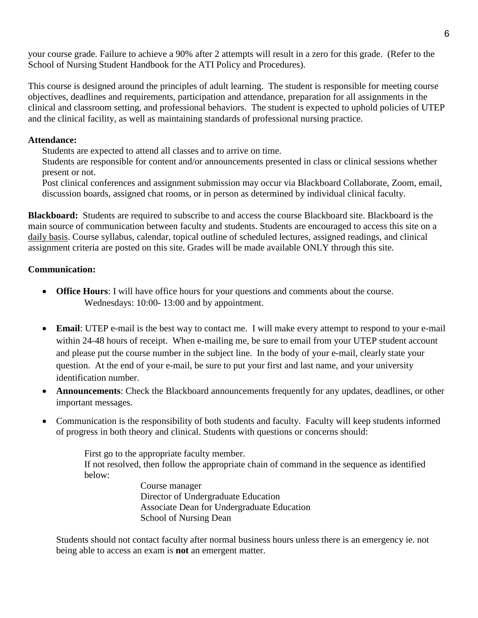your course grade. Failure to achieve a 90% after 2 attempts will result in a zero for this grade. (Refer to the School of Nursing Student Handbook for the ATI Policy and Procedures).

This course is designed around the principles of adult learning. The student is responsible for meeting course objectives, deadlines and requirements, participation and attendance, preparation for all assignments in the clinical and classroom setting, and professional behaviors. The student is expected to uphold policies of UTEP and the clinical facility, as well as maintaining standards of professional nursing practice.

## **Attendance:**

Students are expected to attend all classes and to arrive on time.

Students are responsible for content and/or announcements presented in class or clinical sessions whether present or not.

Post clinical conferences and assignment submission may occur via Blackboard Collaborate, Zoom, email, discussion boards, assigned chat rooms, or in person as determined by individual clinical faculty.

**Blackboard:** Students are required to subscribe to and access the course Blackboard site. Blackboard is the main source of communication between faculty and students. Students are encouraged to access this site on a daily basis. Course syllabus, calendar, topical outline of scheduled lectures, assigned readings, and clinical assignment criteria are posted on this site. Grades will be made available ONLY through this site.

## **Communication:**

- **Office Hours**: I will have office hours for your questions and comments about the course. Wednesdays: 10:00- 13:00 and by appointment.
- **Email:** UTEP e-mail is the best way to contact me. I will make every attempt to respond to your e-mail within 24-48 hours of receipt. When e-mailing me, be sure to email from your UTEP student account and please put the course number in the subject line. In the body of your e-mail, clearly state your question. At the end of your e-mail, be sure to put your first and last name, and your university identification number.
- **Announcements**: Check the Blackboard announcements frequently for any updates, deadlines, or other important messages.
- Communication is the responsibility of both students and faculty. Faculty will keep students informed of progress in both theory and clinical. Students with questions or concerns should:

First go to the appropriate faculty member. If not resolved, then follow the appropriate chain of command in the sequence as identified below:

Course manager Director of Undergraduate Education Associate Dean for Undergraduate Education School of Nursing Dean

Students should not contact faculty after normal business hours unless there is an emergency ie. not being able to access an exam is **not** an emergent matter.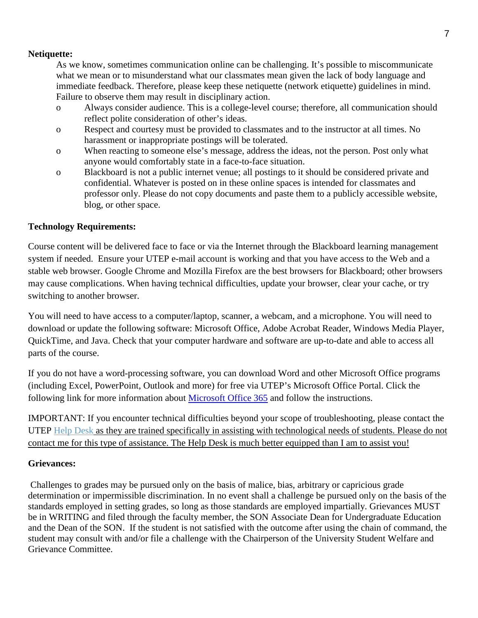### **Netiquette:**

As we know, sometimes communication online can be challenging. It's possible to miscommunicate what we mean or to misunderstand what our classmates mean given the lack of body language and immediate feedback. Therefore, please keep these netiquette (network etiquette) guidelines in mind. Failure to observe them may result in disciplinary action.

- o Always consider audience. This is a college-level course; therefore, all communication should reflect polite consideration of other's ideas.
- o Respect and courtesy must be provided to classmates and to the instructor at all times. No harassment or inappropriate postings will be tolerated.
- o When reacting to someone else's message, address the ideas, not the person. Post only what anyone would comfortably state in a face-to-face situation.
- o Blackboard is not a public internet venue; all postings to it should be considered private and confidential. Whatever is posted on in these online spaces is intended for classmates and professor only. Please do not copy documents and paste them to a publicly accessible website, blog, or other space.

## **Technology Requirements:**

Course content will be delivered face to face or via the Internet through the Blackboard learning management system if needed. Ensure your UTEP e-mail account is working and that you have access to the Web and a stable web browser. Google Chrome and Mozilla Firefox are the best browsers for Blackboard; other browsers may cause complications. When having technical difficulties, update your browser, clear your cache, or try switching to another browser.

You will need to have access to a computer/laptop, scanner, a webcam, and a microphone. You will need to download or update the following software: Microsoft Office, Adobe Acrobat Reader, Windows Media Player, QuickTime, and Java. Check that your computer hardware and software are up-to-date and able to access all parts of the course.

If you do not have a word-processing software, you can download Word and other Microsoft Office programs (including Excel, PowerPoint, Outlook and more) for free via UTEP's Microsoft Office Portal. Click the following link for more information about [Microsoft Office 365](https://www.utep.edu/technologysupport/ServiceCatalog/SOFTWARE_PAGES/soft_microsoftoffice365.html) and follow the instructions.

IMPORTANT: If you encounter technical difficulties beyond your scope of troubleshooting, please contact the UTEP [Help Desk](https://www.utep.edu/irp/technologysupport/) as they are trained specifically in assisting with technological needs of students. Please do not contact me for this type of assistance. The Help Desk is much better equipped than I am to assist you!

## **Grievances:**

Challenges to grades may be pursued only on the basis of malice, bias, arbitrary or capricious grade determination or impermissible discrimination. In no event shall a challenge be pursued only on the basis of the standards employed in setting grades, so long as those standards are employed impartially. Grievances MUST be in WRITING and filed through the faculty member, the SON Associate Dean for Undergraduate Education and the Dean of the SON. If the student is not satisfied with the outcome after using the chain of command, the student may consult with and/or file a challenge with the Chairperson of the University Student Welfare and Grievance Committee.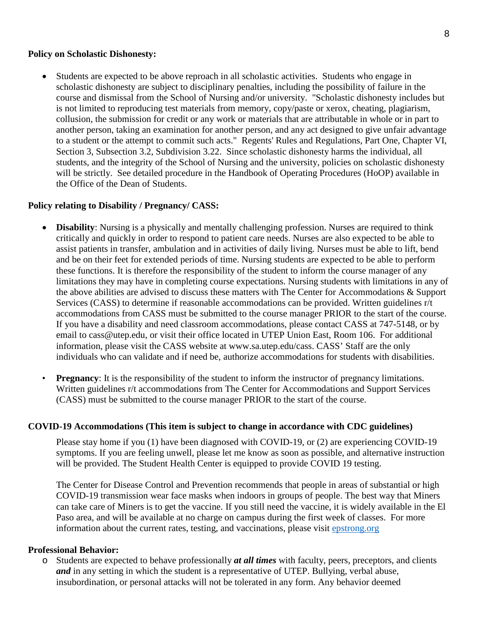#### **Policy on Scholastic Dishonesty:**

• Students are expected to be above reproach in all scholastic activities. Students who engage in scholastic dishonesty are subject to disciplinary penalties, including the possibility of failure in the course and dismissal from the School of Nursing and/or university. "Scholastic dishonesty includes but is not limited to reproducing test materials from memory, copy/paste or xerox, cheating, plagiarism, collusion, the submission for credit or any work or materials that are attributable in whole or in part to another person, taking an examination for another person, and any act designed to give unfair advantage to a student or the attempt to commit such acts." Regents' Rules and Regulations, Part One, Chapter VI, Section 3, Subsection 3.2, Subdivision 3.22. Since scholastic dishonesty harms the individual, all students, and the integrity of the School of Nursing and the university, policies on scholastic dishonesty will be strictly. See detailed procedure in the Handbook of Operating Procedures (HoOP) available in the Office of the Dean of Students.

#### **Policy relating to Disability / Pregnancy/ CASS:**

- **Disability**: Nursing is a physically and mentally challenging profession. Nurses are required to think critically and quickly in order to respond to patient care needs. Nurses are also expected to be able to assist patients in transfer, ambulation and in activities of daily living. Nurses must be able to lift, bend and be on their feet for extended periods of time. Nursing students are expected to be able to perform these functions. It is therefore the responsibility of the student to inform the course manager of any limitations they may have in completing course expectations. Nursing students with limitations in any of the above abilities are advised to discuss these matters with The Center for Accommodations & Support Services (CASS) to determine if reasonable accommodations can be provided. Written guidelines r/t accommodations from CASS must be submitted to the course manager PRIOR to the start of the course. If you have a disability and need classroom accommodations, please contact CASS at 747-5148, or by email to cass@utep.edu, or visit their office located in UTEP Union East, Room 106. For additional information, please visit the CASS website at www.sa.utep.edu/cass. CASS' Staff are the only individuals who can validate and if need be, authorize accommodations for students with disabilities.
- **Pregnancy**: It is the responsibility of the student to inform the instructor of pregnancy limitations. Written guidelines r/t accommodations from The Center for Accommodations and Support Services (CASS) must be submitted to the course manager PRIOR to the start of the course.

#### **COVID-19 Accommodations (This item is subject to change in accordance with CDC guidelines)**

Please stay home if you (1) have been diagnosed with COVID-19, or (2) are experiencing COVID-19 symptoms. If you are feeling unwell, please let me know as soon as possible, and alternative instruction will be provided. The Student Health Center is equipped to provide COVID 19 testing.

The Center for Disease Control and Prevention recommends that people in areas of substantial or high COVID-19 transmission wear face masks when indoors in groups of people. The best way that Miners can take care of Miners is to get the vaccine. If you still need the vaccine, it is widely available in the El Paso area, and will be available at no charge on campus during the first week of classes. For more information about the current rates, testing, and vaccinations, please visit [epstrong.org](https://www.epstrong.org/)

#### **Professional Behavior:**

o Students are expected to behave professionally *at all times* with faculty, peers, preceptors, and clients *and* in any setting in which the student is a representative of UTEP. Bullying, verbal abuse, insubordination, or personal attacks will not be tolerated in any form. Any behavior deemed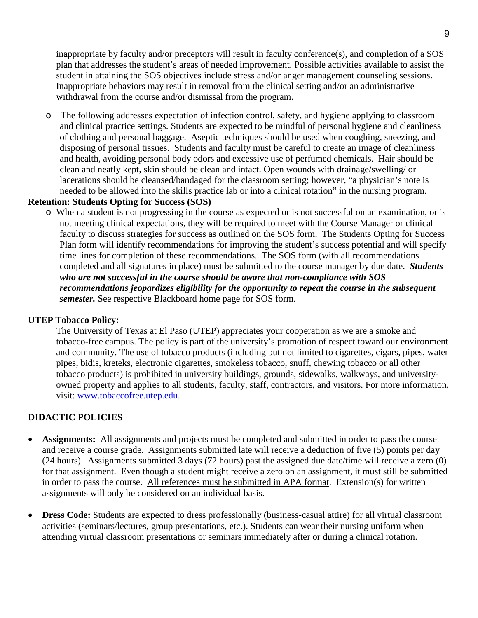inappropriate by faculty and/or preceptors will result in faculty conference(s), and completion of a SOS plan that addresses the student's areas of needed improvement. Possible activities available to assist the student in attaining the SOS objectives include stress and/or anger management counseling sessions. Inappropriate behaviors may result in removal from the clinical setting and/or an administrative withdrawal from the course and/or dismissal from the program.

o The following addresses expectation of infection control, safety, and hygiene applying to classroom and clinical practice settings. Students are expected to be mindful of personal hygiene and cleanliness of clothing and personal baggage. Aseptic techniques should be used when coughing, sneezing, and disposing of personal tissues. Students and faculty must be careful to create an image of cleanliness and health, avoiding personal body odors and excessive use of perfumed chemicals. Hair should be clean and neatly kept, skin should be clean and intact. Open wounds with drainage/swelling/ or lacerations should be cleansed/bandaged for the classroom setting; however, "a physician's note is needed to be allowed into the skills practice lab or into a clinical rotation" in the nursing program.

## **Retention: Students Opting for Success (SOS)**

o When a student is not progressing in the course as expected or is not successful on an examination, or is not meeting clinical expectations, they will be required to meet with the Course Manager or clinical faculty to discuss strategies for success as outlined on the SOS form. The Students Opting for Success Plan form will identify recommendations for improving the student's success potential and will specify time lines for completion of these recommendations. The SOS form (with all recommendations completed and all signatures in place) must be submitted to the course manager by due date. *Students who are not successful in the course should be aware that non-compliance with SOS recommendations jeopardizes eligibility for the opportunity to repeat the course in the subsequent semester.* See respective Blackboard home page for SOS form.

## **UTEP Tobacco Policy:**

The University of Texas at El Paso (UTEP) appreciates your cooperation as we are a smoke and tobacco-free campus. The policy is part of the university's promotion of respect toward our environment and community. The use of tobacco products (including but not limited to cigarettes, cigars, pipes, water pipes, bidis, kreteks, electronic cigarettes, smokeless tobacco, snuff, chewing tobacco or all other tobacco products) is prohibited in university buildings, grounds, sidewalks, walkways, and universityowned property and applies to all students, faculty, staff, contractors, and visitors. For more information, visit: [www.tobaccofree.utep.edu.](http://www.tobaccofree.utep.edu/)

## **DIDACTIC POLICIES**

- **Assignments:** All assignments and projects must be completed and submitted in order to pass the course and receive a course grade. Assignments submitted late will receive a deduction of five (5) points per day (24 hours). Assignments submitted 3 days (72 hours) past the assigned due date/time will receive a zero (0) for that assignment. Even though a student might receive a zero on an assignment, it must still be submitted in order to pass the course. All references must be submitted in APA format. Extension(s) for written assignments will only be considered on an individual basis.
- **Dress Code:** Students are expected to dress professionally (business-casual attire) for all virtual classroom activities (seminars/lectures, group presentations, etc.). Students can wear their nursing uniform when attending virtual classroom presentations or seminars immediately after or during a clinical rotation.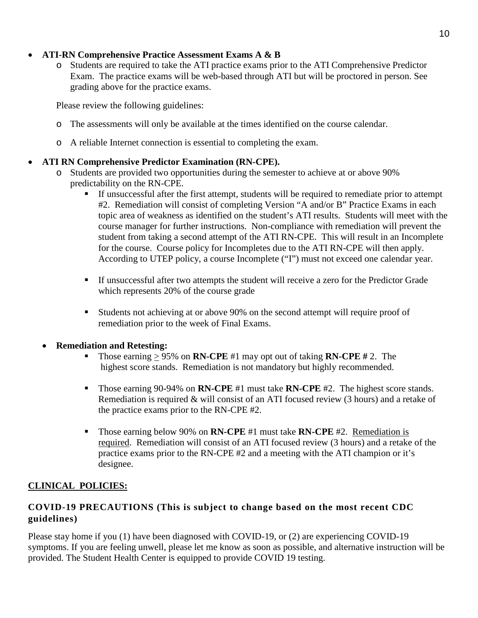## • **ATI-RN Comprehensive Practice Assessment Exams A & B**

o Students are required to take the ATI practice exams prior to the ATI Comprehensive Predictor Exam. The practice exams will be web-based through ATI but will be proctored in person. See grading above for the practice exams.

Please review the following guidelines:

- o The assessments will only be available at the times identified on the course calendar.
- o A reliable Internet connection is essential to completing the exam.

## • **ATI RN Comprehensive Predictor Examination (RN-CPE).**

- o Students are provided two opportunities during the semester to achieve at or above 90% predictability on the RN-CPE.
	- If unsuccessful after the first attempt, students will be required to remediate prior to attempt #2. Remediation will consist of completing Version "A and/or B" Practice Exams in each topic area of weakness as identified on the student's ATI results. Students will meet with the course manager for further instructions. Non-compliance with remediation will prevent the student from taking a second attempt of the ATI RN-CPE. This will result in an Incomplete for the course. Course policy for Incompletes due to the ATI RN-CPE will then apply. According to UTEP policy, a course Incomplete ("I") must not exceed one calendar year.
	- If unsuccessful after two attempts the student will receive a zero for the Predictor Grade which represents 20% of the course grade
	- Students not achieving at or above 90% on the second attempt will require proof of remediation prior to the week of Final Exams.

#### • **Remediation and Retesting:**

- Those earning  $\geq$  95% on **RN-CPE** #1 may opt out of taking **RN-CPE** #2. The highest score stands. Remediation is not mandatory but highly recommended.
- Those earning 90-94% on **RN-CPE** #1 must take **RN-CPE** #2. The highest score stands. Remediation is required & will consist of an ATI focused review (3 hours) and a retake of the practice exams prior to the RN-CPE #2.
- Those earning below 90% on **RN-CPE** #1 must take **RN-CPE** #2. Remediation is required. Remediation will consist of an ATI focused review (3 hours) and a retake of the practice exams prior to the RN-CPE #2 and a meeting with the ATI champion or it's designee.

## **CLINICAL POLICIES:**

## **COVID-19 PRECAUTIONS (This is subject to change based on the most recent CDC guidelines)**

Please stay home if you (1) have been diagnosed with COVID-19, or (2) are experiencing COVID-19 symptoms. If you are feeling unwell, please let me know as soon as possible, and alternative instruction will be provided. The Student Health Center is equipped to provide COVID 19 testing.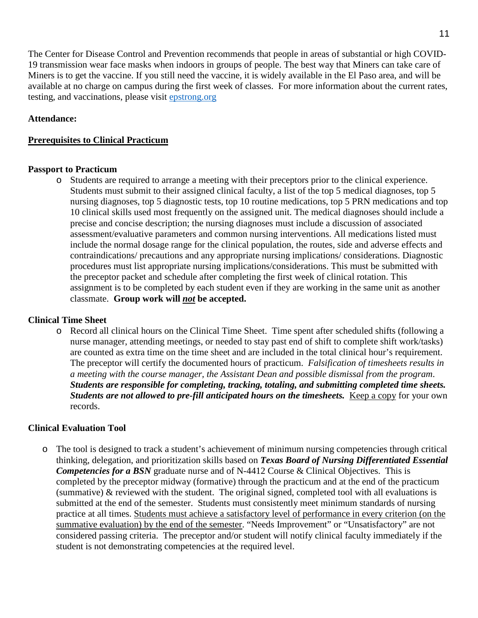The Center for Disease Control and Prevention recommends that people in areas of substantial or high COVID-19 transmission wear face masks when indoors in groups of people. The best way that Miners can take care of Miners is to get the vaccine. If you still need the vaccine, it is widely available in the El Paso area, and will be available at no charge on campus during the first week of classes. For more information about the current rates, testing, and vaccinations, please visit [epstrong.org](https://www.epstrong.org/)

## **Attendance:**

## **Prerequisites to Clinical Practicum**

## **Passport to Practicum**

o Students are required to arrange a meeting with their preceptors prior to the clinical experience. Students must submit to their assigned clinical faculty, a list of the top 5 medical diagnoses, top 5 nursing diagnoses, top 5 diagnostic tests, top 10 routine medications, top 5 PRN medications and top 10 clinical skills used most frequently on the assigned unit. The medical diagnoses should include a precise and concise description; the nursing diagnoses must include a discussion of associated assessment/evaluative parameters and common nursing interventions. All medications listed must include the normal dosage range for the clinical population, the routes, side and adverse effects and contraindications/ precautions and any appropriate nursing implications/ considerations. Diagnostic procedures must list appropriate nursing implications/considerations. This must be submitted with the preceptor packet and schedule after completing the first week of clinical rotation. This assignment is to be completed by each student even if they are working in the same unit as another classmate. **Group work will** *not* **be accepted.** 

## **Clinical Time Sheet**

o Record all clinical hours on the Clinical Time Sheet. Time spent after scheduled shifts (following a nurse manager, attending meetings, or needed to stay past end of shift to complete shift work/tasks) are counted as extra time on the time sheet and are included in the total clinical hour's requirement. The preceptor will certify the documented hours of practicum. *Falsification of timesheets results in a meeting with the course manager, the Assistant Dean and possible dismissal from the program*. *Students are responsible for completing, tracking, totaling, and submitting completed time sheets. Students are not allowed to pre-fill anticipated hours on the timesheets.* **Keep a copy for your own** records.

## **Clinical Evaluation Tool**

o The tool is designed to track a student's achievement of minimum nursing competencies through critical thinking, delegation, and prioritization skills based on *Texas Board of Nursing Differentiated Essential Competencies for a BSN* graduate nurse and of N-4412 Course & Clinical Objectives. This is completed by the preceptor midway (formative) through the practicum and at the end of the practicum (summative) & reviewed with the student. The original signed, completed tool with all evaluations is submitted at the end of the semester. Students must consistently meet minimum standards of nursing practice at all times. Students must achieve a satisfactory level of performance in every criterion (on the summative evaluation) by the end of the semester. "Needs Improvement" or "Unsatisfactory" are not considered passing criteria. The preceptor and/or student will notify clinical faculty immediately if the student is not demonstrating competencies at the required level.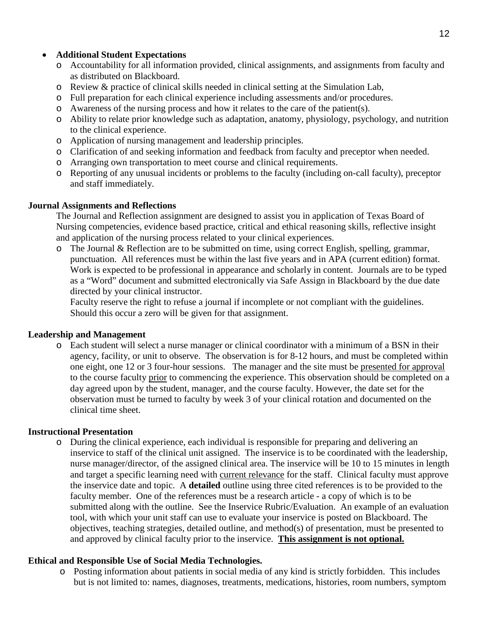## • **Additional Student Expectations**

- o Accountability for all information provided, clinical assignments, and assignments from faculty and as distributed on Blackboard.
- o Review & practice of clinical skills needed in clinical setting at the Simulation Lab,
- o Full preparation for each clinical experience including assessments and/or procedures.
- o Awareness of the nursing process and how it relates to the care of the patient(s).
- o Ability to relate prior knowledge such as adaptation, anatomy, physiology, psychology, and nutrition to the clinical experience.
- o Application of nursing management and leadership principles.
- o Clarification of and seeking information and feedback from faculty and preceptor when needed.
- o Arranging own transportation to meet course and clinical requirements.
- o Reporting of any unusual incidents or problems to the faculty (including on-call faculty), preceptor and staff immediately.

## **Journal Assignments and Reflections**

The Journal and Reflection assignment are designed to assist you in application of Texas Board of Nursing competencies, evidence based practice, critical and ethical reasoning skills, reflective insight and application of the nursing process related to your clinical experiences.

o The Journal & Reflection are to be submitted on time, using correct English, spelling, grammar, punctuation. All references must be within the last five years and in APA (current edition) format. Work is expected to be professional in appearance and scholarly in content. Journals are to be typed as a "Word" document and submitted electronically via Safe Assign in Blackboard by the due date directed by your clinical instructor.

Faculty reserve the right to refuse a journal if incomplete or not compliant with the guidelines. Should this occur a zero will be given for that assignment.

## **Leadership and Management**

o Each student will select a nurse manager or clinical coordinator with a minimum of a BSN in their agency, facility, or unit to observe. The observation is for 8-12 hours, and must be completed within one eight, one 12 or 3 four-hour sessions. The manager and the site must be presented for approval to the course faculty prior to commencing the experience. This observation should be completed on a day agreed upon by the student, manager, and the course faculty. However, the date set for the observation must be turned to faculty by week 3 of your clinical rotation and documented on the clinical time sheet.

## **Instructional Presentation**

o During the clinical experience, each individual is responsible for preparing and delivering an inservice to staff of the clinical unit assigned. The inservice is to be coordinated with the leadership, nurse manager/director, of the assigned clinical area. The inservice will be 10 to 15 minutes in length and target a specific learning need with current relevance for the staff. Clinical faculty must approve the inservice date and topic. A **detailed** outline using three cited references is to be provided to the faculty member. One of the references must be a research article - a copy of which is to be submitted along with the outline. See the Inservice Rubric/Evaluation. An example of an evaluation tool, with which your unit staff can use to evaluate your inservice is posted on Blackboard. The objectives, teaching strategies, detailed outline, and method(s) of presentation, must be presented to and approved by clinical faculty prior to the inservice. **This assignment is not optional.**

## **Ethical and Responsible Use of Social Media Technologies.**

o Posting information about patients in social media of any kind is strictly forbidden. This includes but is not limited to: names, diagnoses, treatments, medications, histories, room numbers, symptom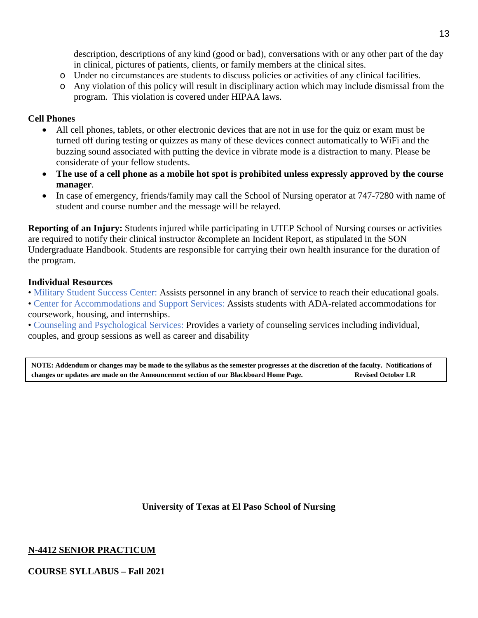description, descriptions of any kind (good or bad), conversations with or any other part of the day in clinical, pictures of patients, clients, or family members at the clinical sites.

- o Under no circumstances are students to discuss policies or activities of any clinical facilities.
- o Any violation of this policy will result in disciplinary action which may include dismissal from the program. This violation is covered under HIPAA laws.

## **Cell Phones**

- All cell phones, tablets, or other electronic devices that are not in use for the quiz or exam must be turned off during testing or quizzes as many of these devices connect automatically to WiFi and the buzzing sound associated with putting the device in vibrate mode is a distraction to many. Please be considerate of your fellow students.
- **The use of a cell phone as a mobile hot spot is prohibited unless expressly approved by the course manager**.
- In case of emergency, friends/family may call the School of Nursing operator at 747-7280 with name of student and course number and the message will be relayed.

**Reporting of an Injury:** Students injured while participating in UTEP School of Nursing courses or activities are required to notify their clinical instructor &complete an Incident Report, as stipulated in the SON Undergraduate Handbook. Students are responsible for carrying their own health insurance for the duration of the program.

## **Individual Resources**

• Military Student Success Center: Assists personnel in any branch of service to reach their educational goals.

• Center for Accommodations and Support Services: Assists students with ADA-related accommodations for coursework, housing, and internships.

• Counseling and Psychological Services: Provides a variety of counseling services including individual, couples, and group sessions as well as career and disability

NOTE: Addendum or changes may be made to the syllabus as the semester progresses at the discretion of the faculty. Notifications of **changes or updates are made on the Announcement section of our Blackboard Home Page. Revised October LR**

**University of Texas at El Paso School of Nursing**

## **N-4412 SENIOR PRACTICUM**

**COURSE SYLLABUS – Fall 2021**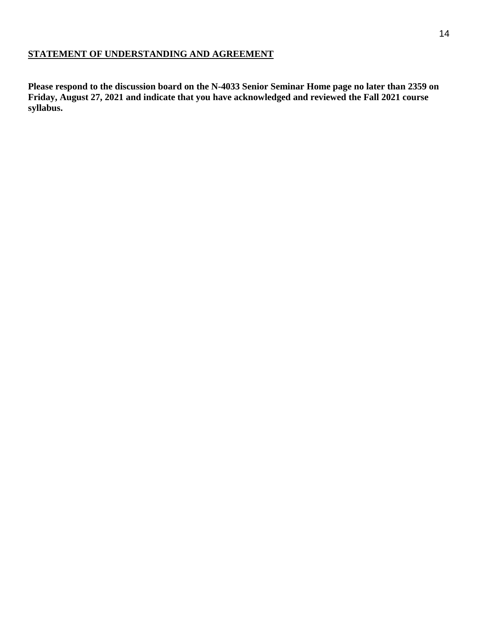## **STATEMENT OF UNDERSTANDING AND AGREEMENT**

**Please respond to the discussion board on the N-4033 Senior Seminar Home page no later than 2359 on Friday, August 27, 2021 and indicate that you have acknowledged and reviewed the Fall 2021 course syllabus.**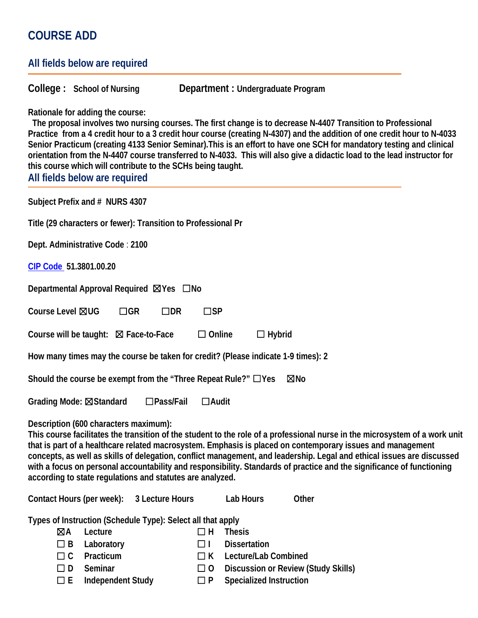# **COURSE ADD**

|                                                         | All fields below are required                                     |                                                 |                                                                                                              |                                                                                                                                                                                                                                                                                                                                                                                                                                                                                              |
|---------------------------------------------------------|-------------------------------------------------------------------|-------------------------------------------------|--------------------------------------------------------------------------------------------------------------|----------------------------------------------------------------------------------------------------------------------------------------------------------------------------------------------------------------------------------------------------------------------------------------------------------------------------------------------------------------------------------------------------------------------------------------------------------------------------------------------|
|                                                         | College: School of Nursing                                        |                                                 |                                                                                                              | Department : Undergraduate Program                                                                                                                                                                                                                                                                                                                                                                                                                                                           |
|                                                         | Rationale for adding the course:<br>All fields below are required |                                                 | this course which will contribute to the SCHs being taught.                                                  | The proposal involves two nursing courses. The first change is to decrease N-4407 Transition to Professional<br>Practice from a 4 credit hour to a 3 credit hour course (creating N-4307) and the addition of one credit hour to N-4033<br>Senior Practicum (creating 4133 Senior Seminar). This is an effort to have one SCH for mandatory testing and clinical<br>orientation from the N-4407 course transferred to N-4033. This will also give a didactic load to the lead instructor for |
|                                                         | Subject Prefix and # NURS 4307                                    |                                                 |                                                                                                              |                                                                                                                                                                                                                                                                                                                                                                                                                                                                                              |
|                                                         |                                                                   |                                                 | Title (29 characters or fewer): Transition to Professional Pr                                                |                                                                                                                                                                                                                                                                                                                                                                                                                                                                                              |
|                                                         | Dept. Administrative Code: 2100                                   |                                                 |                                                                                                              |                                                                                                                                                                                                                                                                                                                                                                                                                                                                                              |
|                                                         | CIP Code 51.3801.00.20                                            |                                                 |                                                                                                              |                                                                                                                                                                                                                                                                                                                                                                                                                                                                                              |
|                                                         |                                                                   | Departmental Approval Required ⊠Yes □ No        |                                                                                                              |                                                                                                                                                                                                                                                                                                                                                                                                                                                                                              |
| Course Level ⊠UG                                        |                                                                   | $\Box$ GR                                       | $\square$ DR<br>$\square$ SP                                                                                 |                                                                                                                                                                                                                                                                                                                                                                                                                                                                                              |
|                                                         |                                                                   | Course will be taught: $\boxtimes$ Face-to-Face |                                                                                                              | $\Box$ Online<br>$\Box$ Hybrid                                                                                                                                                                                                                                                                                                                                                                                                                                                               |
|                                                         |                                                                   |                                                 |                                                                                                              | How many times may the course be taken for credit? (Please indicate 1-9 times): 2                                                                                                                                                                                                                                                                                                                                                                                                            |
|                                                         |                                                                   |                                                 |                                                                                                              | Should the course be exempt from the "Three Repeat Rule?" $\Box$ Yes<br>⊠No                                                                                                                                                                                                                                                                                                                                                                                                                  |
|                                                         | Grading Mode: ⊠Standard                                           |                                                 | $\square$ Pass/Fail                                                                                          | $\Box$ Audit                                                                                                                                                                                                                                                                                                                                                                                                                                                                                 |
|                                                         |                                                                   | Description (600 characters maximum):           | according to state regulations and statutes are analyzed.                                                    | This course facilitates the transition of the student to the role of a professional nurse in the microsystem of a work unit<br>that is part of a healthcare related macrosystem. Emphasis is placed on contemporary issues and management<br>concepts, as well as skills of delegation, conflict management, and leadership. Legal and ethical issues are discussed<br>with a focus on personal accountability and responsibility. Standards of practice and the significance of functioning |
|                                                         | Contact Hours (per week):                                         |                                                 | 3 Lecture Hours                                                                                              | Lab Hours<br>Other                                                                                                                                                                                                                                                                                                                                                                                                                                                                           |
| ⊠A<br>$\Box$ B<br>$\Box$ $C$<br>$\Box$ D<br>$\square$ E | Lecture<br>Laboratory<br>Practicum<br>Seminar                     | <b>Independent Study</b>                        | Types of Instruction (Schedule Type): Select all that apply<br>□H<br>□ ।<br>$\Box$ K<br>$\Box$ 0<br>$\Box P$ | <b>Thesis</b><br><b>Dissertation</b><br>Lecture/Lab Combined<br>Discussion or Review (Study Skills)<br><b>Specialized Instruction</b>                                                                                                                                                                                                                                                                                                                                                        |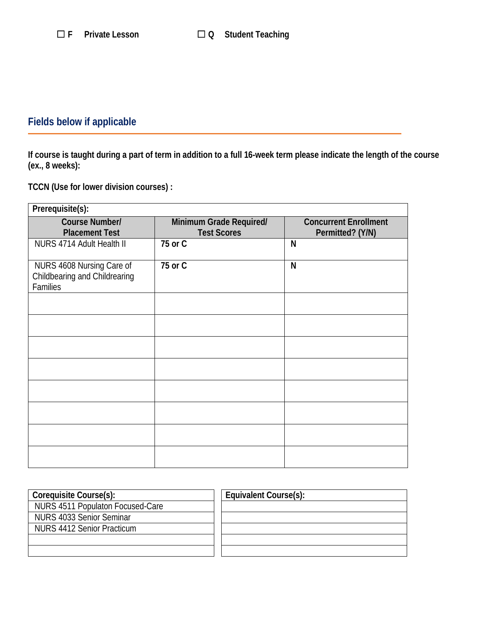# **Fields below if applicable**

**If course is taught during a part of term in addition to a full 16-week term please indicate the length of the course (ex., 8 weeks):**

**TCCN (Use for lower division courses) :**

| Prerequisite(s):                                                       |                                               |                                                  |
|------------------------------------------------------------------------|-----------------------------------------------|--------------------------------------------------|
| Course Number/<br><b>Placement Test</b>                                | Minimum Grade Required/<br><b>Test Scores</b> | <b>Concurrent Enrollment</b><br>Permitted? (Y/N) |
| NURS 4714 Adult Health II                                              | 75 or C                                       | N                                                |
| NURS 4608 Nursing Care of<br>Childbearing and Childrearing<br>Families | 75 or C                                       | N                                                |
|                                                                        |                                               |                                                  |
|                                                                        |                                               |                                                  |
|                                                                        |                                               |                                                  |
|                                                                        |                                               |                                                  |
|                                                                        |                                               |                                                  |
|                                                                        |                                               |                                                  |
|                                                                        |                                               |                                                  |
|                                                                        |                                               |                                                  |

| Coreguisite Course(s):           | Equivalent Course(s): |
|----------------------------------|-----------------------|
| NURS 4511 Populaton Focused-Care |                       |
| NURS 4033 Senior Seminar         |                       |
| NURS 4412 Senior Practicum       |                       |
|                                  |                       |
|                                  |                       |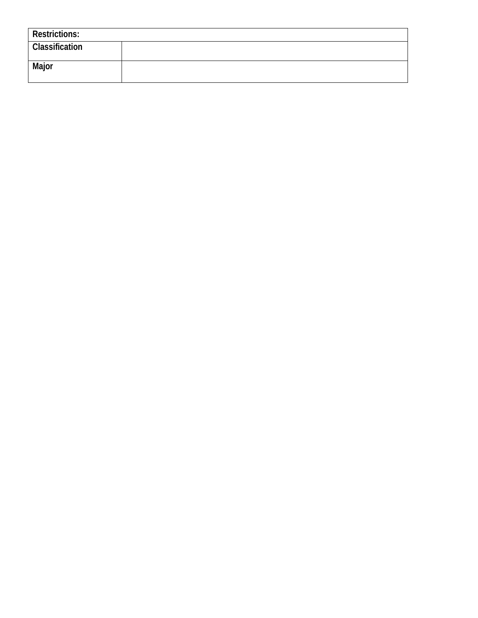| <b>Restrictions:</b>  |  |
|-----------------------|--|
| <b>Classification</b> |  |
| Major                 |  |
|                       |  |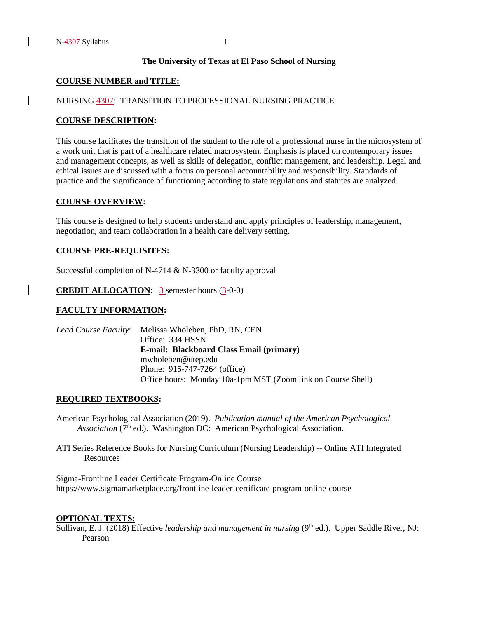#### **The University of Texas at El Paso School of Nursing**

#### **COURSE NUMBER and TITLE:**

#### NURSING 4307: TRANSITION TO PROFESSIONAL NURSING PRACTICE

#### **COURSE DESCRIPTION:**

This course facilitates the transition of the student to the role of a professional nurse in the microsystem of a work unit that is part of a healthcare related macrosystem. Emphasis is placed on contemporary issues and management concepts, as well as skills of delegation, conflict management, and leadership. Legal and ethical issues are discussed with a focus on personal accountability and responsibility. Standards of practice and the significance of functioning according to state regulations and statutes are analyzed.

#### **COURSE OVERVIEW:**

This course is designed to help students understand and apply principles of leadership, management, negotiation, and team collaboration in a health care delivery setting.

#### **COURSE PRE-REQUISITES:**

Successful completion of N-4714 & N-3300 or faculty approval

**CREDIT ALLOCATION:** 3 semester hours (3-0-0)

#### **FACULTY INFORMATION:**

*Lead Course Faculty*: Melissa Wholeben, PhD, RN, CEN Office: 334 HSSN **E-mail: Blackboard Class Email (primary)** mwholeben@utep.edu Phone: 915-747-7264 (office) Office hours: Monday 10a-1pm MST (Zoom link on Course Shell)

#### **REQUIRED TEXTBOOKS:**

American Psychological Association (2019). *Publication manual of the American Psychological Association* (7<sup>th</sup> ed.). Washington DC: American Psychological Association.

ATI Series Reference Books for Nursing Curriculum (Nursing Leadership) -- Online ATI Integrated Resources

Sigma-Frontline Leader Certificate Program-Online Course https://www.sigmamarketplace.org/frontline-leader-certificate-program-online-course

#### **OPTIONAL TEXTS:**

Sullivan, E. J. (2018) Effective *leadership and management in nursing* (9<sup>th</sup> ed.). Upper Saddle River, NJ: Pearson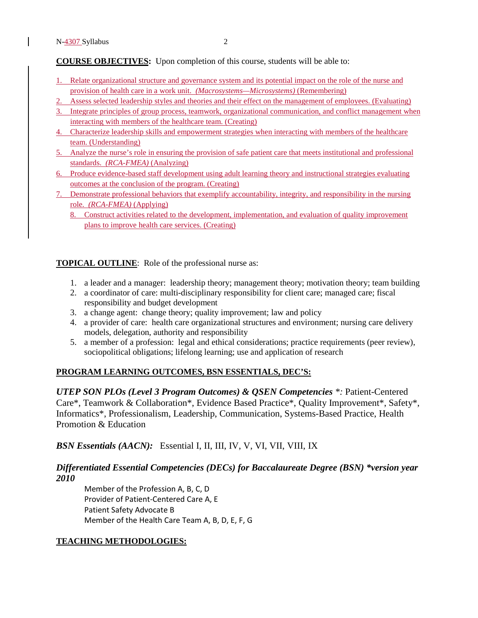**COURSE OBJECTIVES:** Upon completion of this course, students will be able to:

- 1. Relate organizational structure and governance system and its potential impact on the role of the nurse and provision of health care in a work unit. *(Macrosystems—Microsystems)* (Remembering)
- 2. Assess selected leadership styles and theories and their effect on the management of employees. (Evaluating)
- 3. Integrate principles of group process, teamwork, organizational communication, and conflict management when interacting with members of the healthcare team. (Creating)
- 4. Characterize leadership skills and empowerment strategies when interacting with members of the healthcare team. (Understanding)
- 5. Analyze the nurse's role in ensuring the provision of safe patient care that meets institutional and professional standards. *(RCA-FMEA)* (Analyzing)
- 6. Produce evidence-based staff development using adult learning theory and instructional strategies evaluating outcomes at the conclusion of the program. (Creating)
- 7. Demonstrate professional behaviors that exemplify accountability, integrity, and responsibility in the nursing role. *(RCA-FMEA)* (Applying)
	- 8. Construct activities related to the development, implementation, and evaluation of quality improvement plans to improve health care services. (Creating)

**TOPICAL OUTLINE**: Role of the professional nurse as:

- 1. a leader and a manager: leadership theory; management theory; motivation theory; team building
- 2. a coordinator of care: multi-disciplinary responsibility for client care; managed care; fiscal responsibility and budget development
- 3. a change agent: change theory; quality improvement; law and policy
- 4. a provider of care: health care organizational structures and environment; nursing care delivery models, delegation, authority and responsibility
- 5. a member of a profession: legal and ethical considerations; practice requirements (peer review), sociopolitical obligations; lifelong learning; use and application of research

#### **PROGRAM LEARNING OUTCOMES, BSN ESSENTIALS, DEC'S:**

*UTEP SON PLOs (Level 3 Program Outcomes) & QSEN Competencies \*:* Patient-Centered Care\*, Teamwork & Collaboration\*, Evidence Based Practice\*, Quality Improvement\*, Safety\*, Informatics\*, Professionalism, Leadership, Communication, Systems-Based Practice, Health Promotion & Education

*BSN Essentials (AACN):* Essential I, II, III, IV, V, VI, VII, VIII, IX

## *Differentiated Essential Competencies (DECs) for Baccalaureate Degree (BSN) \*version year 2010*

Member of the Profession A, B, C, D Provider of Patient-Centered Care A, E Patient Safety Advocate B Member of the Health Care Team A, B, D, E, F, G

#### **TEACHING METHODOLOGIES:**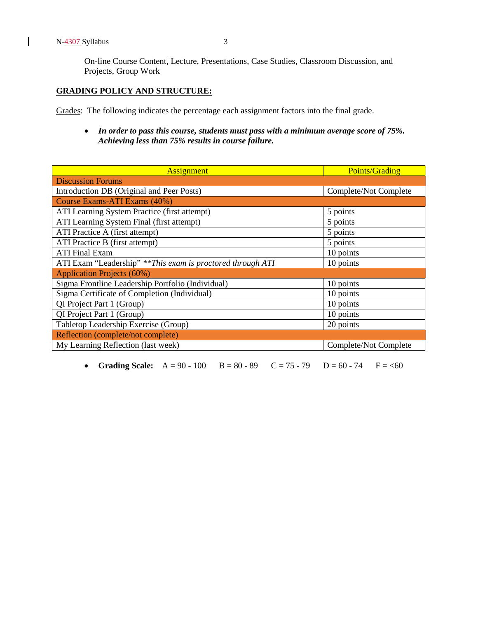N-4307 Syllabus 3

 $\overline{\phantom{a}}$ 

On-line Course Content, Lecture, Presentations, Case Studies, Classroom Discussion, and Projects, Group Work

#### **GRADING POLICY AND STRUCTURE:**

Grades: The following indicates the percentage each assignment factors into the final grade.

• *In order to pass this course, students must pass with a minimum average score of 75%. Achieving less than 75% results in course failure.*

| <b>Assignment</b>                                           | <b>Points/Grading</b> |
|-------------------------------------------------------------|-----------------------|
| <b>Discussion Forums</b>                                    |                       |
| Introduction DB (Original and Peer Posts)                   | Complete/Not Complete |
| Course Exams-ATI Exams (40%)                                |                       |
| ATI Learning System Practice (first attempt)                | 5 points              |
| ATI Learning System Final (first attempt)                   | 5 points              |
| ATI Practice A (first attempt)                              | 5 points              |
| ATI Practice B (first attempt)                              | 5 points              |
| <b>ATI Final Exam</b>                                       | 10 points             |
| ATI Exam "Leadership" ** This exam is proctored through ATI | 10 points             |
| <b>Application Projects (60%)</b>                           |                       |
| Sigma Frontline Leadership Portfolio (Individual)           | 10 points             |
| Sigma Certificate of Completion (Individual)                | 10 points             |
| QI Project Part 1 (Group)                                   | 10 points             |
| QI Project Part 1 (Group)                                   | 10 points             |
| Tabletop Leadership Exercise (Group)                        | 20 points             |
| Reflection (complete/not complete)                          |                       |
| My Learning Reflection (last week)                          | Complete/Not Complete |

• **Grading Scale:**  $A = 90 - 100$   $B = 80 - 89$   $C = 75 - 79$   $D = 60 - 74$   $F =  $\leq 60$$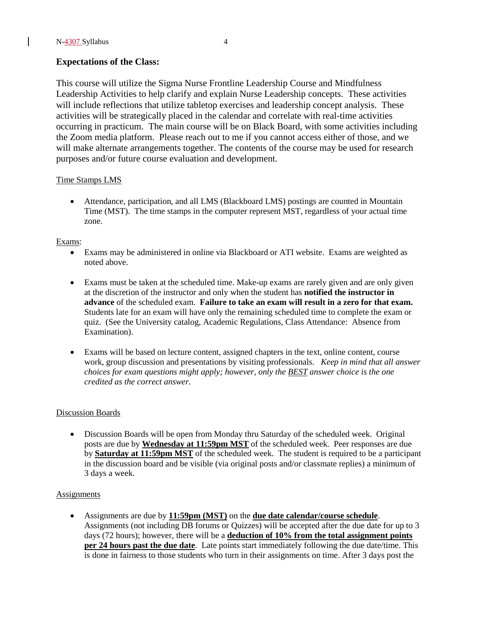### **Expectations of the Class:**

This course will utilize the Sigma Nurse Frontline Leadership Course and Mindfulness Leadership Activities to help clarify and explain Nurse Leadership concepts. These activities will include reflections that utilize tabletop exercises and leadership concept analysis. These activities will be strategically placed in the calendar and correlate with real-time activities occurring in practicum. The main course will be on Black Board, with some activities including the Zoom media platform. Please reach out to me if you cannot access either of those, and we will make alternate arrangements together. The contents of the course may be used for research purposes and/or future course evaluation and development.

#### Time Stamps LMS

• Attendance, participation, and all LMS (Blackboard LMS) postings are counted in Mountain Time (MST). The time stamps in the computer represent MST, regardless of your actual time zone.

#### Exams:

- Exams may be administered in online via Blackboard or ATI website. Exams are weighted as noted above.
- Exams must be taken at the scheduled time. Make-up exams are rarely given and are only given at the discretion of the instructor and only when the student has **notified the instructor in advance** of the scheduled exam. **Failure to take an exam will result in a zero for that exam.**  Students late for an exam will have only the remaining scheduled time to complete the exam or quiz. (See the University catalog, Academic Regulations, Class Attendance: Absence from Examination).
- Exams will be based on lecture content, assigned chapters in the text, online content, course work, group discussion and presentations by visiting professionals. *Keep in mind that all answer choices for exam questions might apply; however, only the BEST answer choice is the one credited as the correct answer.*

#### Discussion Boards

• Discussion Boards will be open from Monday thru Saturday of the scheduled week. Original posts are due by **Wednesday at 11:59pm MST** of the scheduled week. Peer responses are due by **Saturday at 11:59pm MST** of the scheduled week. The student is required to be a participant in the discussion board and be visible (via original posts and/or classmate replies) a minimum of 3 days a week.

#### **Assignments**

• Assignments are due by **11:59pm (MST)** on the **due date calendar/course schedule**. Assignments (not including DB forums or Quizzes) will be accepted after the due date for up to 3 days (72 hours); however, there will be a **deduction of 10% from the total assignment points per 24 hours past the due date**. Late points start immediately following the due date/time. This is done in fairness to those students who turn in their assignments on time. After 3 days post the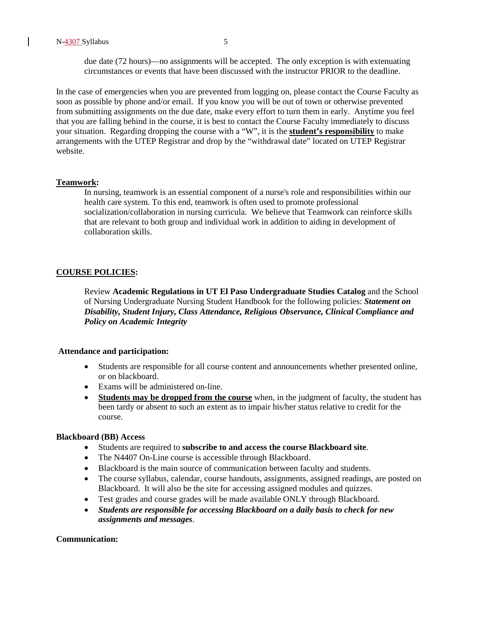due date (72 hours)—no assignments will be accepted. The only exception is with extenuating circumstances or events that have been discussed with the instructor PRIOR to the deadline.

In the case of emergencies when you are prevented from logging on, please contact the Course Faculty as soon as possible by phone and/or email. If you know you will be out of town or otherwise prevented from submitting assignments on the due date, make every effort to turn them in early. Anytime you feel that you are falling behind in the course, it is best to contact the Course Faculty immediately to discuss your situation. Regarding dropping the course with a "W", it is the **student's responsibility** to make arrangements with the UTEP Registrar and drop by the "withdrawal date" located on UTEP Registrar website.

#### **Teamwork:**

In nursing, teamwork is an essential component of a nurse's role and responsibilities within our health care system. To this end, teamwork is often used to promote professional socialization/collaboration in nursing curricula. We believe that Teamwork can reinforce skills that are relevant to both group and individual work in addition to aiding in development of collaboration skills.

#### **COURSE POLICIES:**

Review **Academic Regulations in UT El Paso Undergraduate Studies Catalog** and the School of Nursing Undergraduate Nursing Student Handbook for the following policies: *Statement on Disability, Student Injury, Class Attendance, Religious Observance, Clinical Compliance and Policy on Academic Integrity* 

#### **Attendance and participation:**

- Students are responsible for all course content and announcements whether presented online, or on blackboard.
- Exams will be administered on-line.
- **Students may be dropped from the course** when, in the judgment of faculty, the student has been tardy or absent to such an extent as to impair his/her status relative to credit for the course.

#### **Blackboard (BB) Access**

- Students are required to **subscribe to and access the course Blackboard site**.
- The N4407 On-Line course is accessible through Blackboard.
- Blackboard is the main source of communication between faculty and students.
- The course syllabus, calendar, course handouts, assignments, assigned readings, are posted on Blackboard. It will also be the site for accessing assigned modules and quizzes.
- Test grades and course grades will be made available ONLY through Blackboard.
- *Students are responsible for accessing Blackboard on a daily basis to check for new assignments and messages*.

#### **Communication:**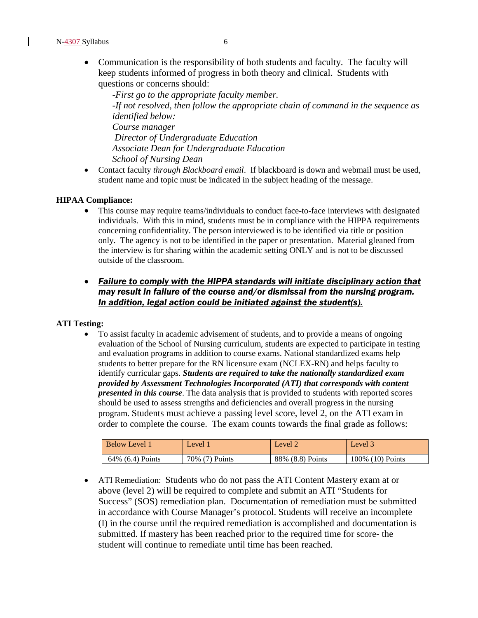• Communication is the responsibility of both students and faculty. The faculty will keep students informed of progress in both theory and clinical. Students with questions or concerns should:

-*First go to the appropriate faculty member. -If not resolved, then follow the appropriate chain of command in the sequence as identified below: Course manager Director of Undergraduate Education Associate Dean for Undergraduate Education School of Nursing Dean*

• Contact faculty *through Blackboard email*. If blackboard is down and webmail must be used, student name and topic must be indicated in the subject heading of the message.

#### **HIPAA Compliance:**

• This course may require teams/individuals to conduct face-to-face interviews with designated individuals. With this in mind, students must be in compliance with the HIPPA requirements concerning confidentiality. The person interviewed is to be identified via title or position only. The agency is not to be identified in the paper or presentation. Material gleaned from the interview is for sharing within the academic setting ONLY and is not to be discussed outside of the classroom.

## • *Failure to comply with the HIPPA standards will initiate disciplinary action that may result in failure of the course and/or dismissal from the nursing program. In addition, legal action could be initiated against the student(s).*

#### **ATI Testing:**

• To assist faculty in academic advisement of students, and to provide a means of ongoing evaluation of the School of Nursing curriculum, students are expected to participate in testing and evaluation programs in addition to course exams. National standardized exams help students to better prepare for the RN licensure exam (NCLEX-RN) and helps faculty to identify curricular gaps. *Students are required to take the nationally standardized exam provided by Assessment Technologies Incorporated (ATI) that corresponds with content presented in this course*. The data analysis that is provided to students with reported scores should be used to assess strengths and deficiencies and overall progress in the nursing program. Students must achieve a passing level score, level 2, on the ATI exam in order to complete the course. The exam counts towards the final grade as follows:

| Below Level 1    | Level          | Level 2          | Level 3           |
|------------------|----------------|------------------|-------------------|
| 64% (6.4) Points | 70% (7) Points | 88% (8.8) Points | 100\% (10) Points |

• ATI Remediation: Students who do not pass the ATI Content Mastery exam at or above (level 2) will be required to complete and submit an ATI "Students for Success" (SOS) remediation plan. Documentation of remediation must be submitted in accordance with Course Manager's protocol. Students will receive an incomplete (I) in the course until the required remediation is accomplished and documentation is submitted. If mastery has been reached prior to the required time for score- the student will continue to remediate until time has been reached.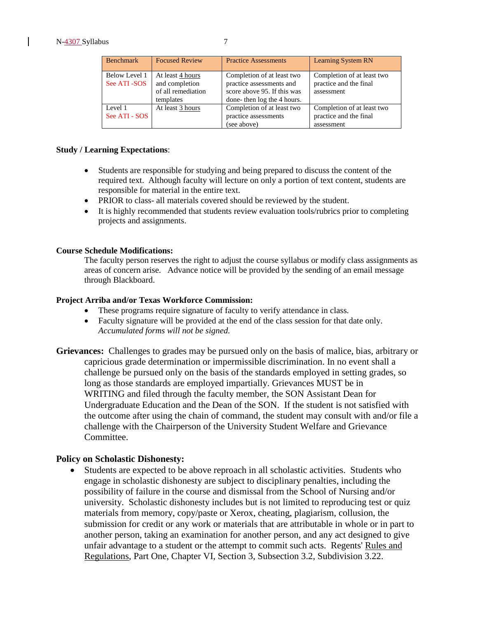| <b>Benchmark</b>              | <b>Focused Review</b>                                                 | <b>Practice Assessments</b>                                                                                         | <b>Learning System RN</b>                                          |
|-------------------------------|-----------------------------------------------------------------------|---------------------------------------------------------------------------------------------------------------------|--------------------------------------------------------------------|
| Below Level 1<br>See ATI -SOS | At least 4 hours<br>and completion<br>of all remediation<br>templates | Completion of at least two<br>practice assessments and<br>score above 95. If this was<br>done-then log the 4 hours. | Completion of at least two<br>practice and the final<br>assessment |
| Level 1<br>See ATI - SOS      | At least 3 hours                                                      | Completion of at least two<br>practice assessments<br>(see above)                                                   | Completion of at least two<br>practice and the final<br>assessment |

#### **Study / Learning Expectations**:

- Students are responsible for studying and being prepared to discuss the content of the required text. Although faculty will lecture on only a portion of text content, students are responsible for material in the entire text.
- PRIOR to class- all materials covered should be reviewed by the student.
- It is highly recommended that students review evaluation tools/rubrics prior to completing projects and assignments.

#### **Course Schedule Modifications:**

The faculty person reserves the right to adjust the course syllabus or modify class assignments as areas of concern arise. Advance notice will be provided by the sending of an email message through Blackboard.

#### **Project Arriba and/or Texas Workforce Commission:**

- These programs require signature of faculty to verify attendance in class.
- Faculty signature will be provided at the end of the class session for that date only. *Accumulated forms will not be signed.*
- **Grievances:** Challenges to grades may be pursued only on the basis of malice, bias, arbitrary or capricious grade determination or impermissible discrimination. In no event shall a challenge be pursued only on the basis of the standards employed in setting grades, so long as those standards are employed impartially. Grievances MUST be in WRITING and filed through the faculty member, the SON Assistant Dean for Undergraduate Education and the Dean of the SON. If the student is not satisfied with the outcome after using the chain of command, the student may consult with and/or file a challenge with the Chairperson of the University Student Welfare and Grievance Committee.

#### **Policy on Scholastic Dishonesty:**

• Students are expected to be above reproach in all scholastic activities. Students who engage in scholastic dishonesty are subject to disciplinary penalties, including the possibility of failure in the course and dismissal from the School of Nursing and/or university. Scholastic dishonesty includes but is not limited to reproducing test or quiz materials from memory, copy/paste or Xerox, cheating, plagiarism, collusion, the submission for credit or any work or materials that are attributable in whole or in part to another person, taking an examination for another person, and any act designed to give unfair advantage to a student or the attempt to commit such acts. Regents' Rules and Regulations, Part One, Chapter VI, Section 3, Subsection 3.2, Subdivision 3.22.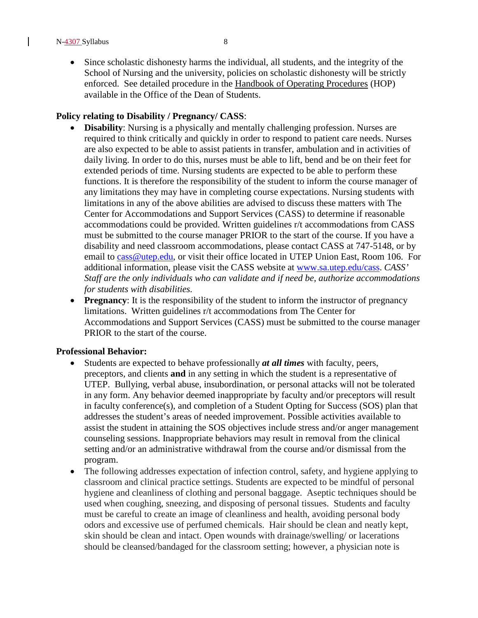• Since scholastic dishonesty harms the individual, all students, and the integrity of the School of Nursing and the university, policies on scholastic dishonesty will be strictly enforced. See detailed procedure in the Handbook of Operating Procedures (HOP) available in the Office of the Dean of Students.

#### **Policy relating to Disability / Pregnancy/ CASS**:

- **Disability**: Nursing is a physically and mentally challenging profession. Nurses are required to think critically and quickly in order to respond to patient care needs. Nurses are also expected to be able to assist patients in transfer, ambulation and in activities of daily living. In order to do this, nurses must be able to lift, bend and be on their feet for extended periods of time. Nursing students are expected to be able to perform these functions. It is therefore the responsibility of the student to inform the course manager of any limitations they may have in completing course expectations. Nursing students with limitations in any of the above abilities are advised to discuss these matters with The Center for Accommodations and Support Services (CASS) to determine if reasonable accommodations could be provided. Written guidelines r/t accommodations from CASS must be submitted to the course manager PRIOR to the start of the course. If you have a disability and need classroom accommodations, please contact CASS at 747-5148, or by email to [cass@utep.edu,](https://webmail.utep.edu/owa/redir.aspx?C=p_MyY6PeGEmcXUDRHP83bVPCWt73k9AIzrwEHHylOWLwGp39yDI25U-cIVMWeYXaOohzsyqNrPg.&URL=mailto%3acass%40utep.edu) or visit their office located in UTEP Union East, Room 106. For additional information, please visit the CASS website at [www.sa.utep.edu/cass.](https://webmail.utep.edu/owa/redir.aspx?C=p_MyY6PeGEmcXUDRHP83bVPCWt73k9AIzrwEHHylOWLwGp39yDI25U-cIVMWeYXaOohzsyqNrPg.&URL=http%3a%2f%2fwww.sa.utep.edu%2fcass) *CASS' Staff are the only individuals who can validate and if need be, authorize accommodations for students with disabilities.*
- **Pregnancy**: It is the responsibility of the student to inform the instructor of pregnancy limitations. Written guidelines r/t accommodations from The Center for Accommodations and Support Services (CASS) must be submitted to the course manager PRIOR to the start of the course.

#### **Professional Behavior:**

- Students are expected to behave professionally *at all times* with faculty, peers, preceptors, and clients **and** in any setting in which the student is a representative of UTEP. Bullying, verbal abuse, insubordination, or personal attacks will not be tolerated in any form. Any behavior deemed inappropriate by faculty and/or preceptors will result in faculty conference(s), and completion of a Student Opting for Success (SOS) plan that addresses the student's areas of needed improvement. Possible activities available to assist the student in attaining the SOS objectives include stress and/or anger management counseling sessions. Inappropriate behaviors may result in removal from the clinical setting and/or an administrative withdrawal from the course and/or dismissal from the program.
- The following addresses expectation of infection control, safety, and hygiene applying to classroom and clinical practice settings. Students are expected to be mindful of personal hygiene and cleanliness of clothing and personal baggage. Aseptic techniques should be used when coughing, sneezing, and disposing of personal tissues. Students and faculty must be careful to create an image of cleanliness and health, avoiding personal body odors and excessive use of perfumed chemicals. Hair should be clean and neatly kept, skin should be clean and intact. Open wounds with drainage/swelling/ or lacerations should be cleansed/bandaged for the classroom setting; however, a physician note is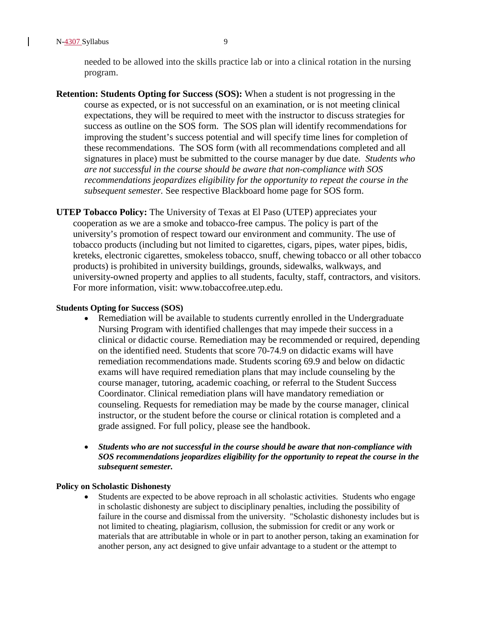N-4307 Syllabus 9

needed to be allowed into the skills practice lab or into a clinical rotation in the nursing program.

- **Retention: Students Opting for Success (SOS):** When a student is not progressing in the course as expected, or is not successful on an examination, or is not meeting clinical expectations, they will be required to meet with the instructor to discuss strategies for success as outline on the SOS form. The SOS plan will identify recommendations for improving the student's success potential and will specify time lines for completion of these recommendations. The SOS form (with all recommendations completed and all signatures in place) must be submitted to the course manager by due date*. Students who are not successful in the course should be aware that non-compliance with SOS recommendations jeopardizes eligibility for the opportunity to repeat the course in the subsequent semester.* See respective Blackboard home page for SOS form.
- **UTEP Tobacco Policy:** The University of Texas at El Paso (UTEP) appreciates your cooperation as we are a smoke and tobacco-free campus. The policy is part of the university's promotion of respect toward our environment and community. The use of tobacco products (including but not limited to cigarettes, cigars, pipes, water pipes, bidis, kreteks, electronic cigarettes, smokeless tobacco, snuff, chewing tobacco or all other tobacco products) is prohibited in university buildings, grounds, sidewalks, walkways, and university-owned property and applies to all students, faculty, staff, contractors, and visitors. For more information, visit: www.tobaccofree.utep.edu.

#### **Students Opting for Success (SOS)**

- Remediation will be available to students currently enrolled in the Undergraduate Nursing Program with identified challenges that may impede their success in a clinical or didactic course. Remediation may be recommended or required, depending on the identified need. Students that score 70-74.9 on didactic exams will have remediation recommendations made. Students scoring 69.9 and below on didactic exams will have required remediation plans that may include counseling by the course manager, tutoring, academic coaching, or referral to the Student Success Coordinator. Clinical remediation plans will have mandatory remediation or counseling. Requests for remediation may be made by the course manager, clinical instructor, or the student before the course or clinical rotation is completed and a grade assigned. For full policy, please see the handbook.
- *Students who are not successful in the course should be aware that non-compliance with SOS recommendations jeopardizes eligibility for the opportunity to repeat the course in the subsequent semester.*

#### **Policy on Scholastic Dishonesty**

• Students are expected to be above reproach in all scholastic activities. Students who engage in scholastic dishonesty are subject to disciplinary penalties, including the possibility of failure in the course and dismissal from the university. "Scholastic dishonesty includes but is not limited to cheating, plagiarism, collusion, the submission for credit or any work or materials that are attributable in whole or in part to another person, taking an examination for another person, any act designed to give unfair advantage to a student or the attempt to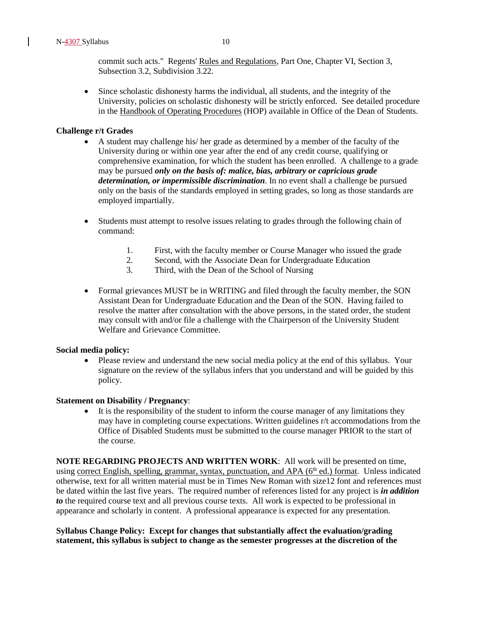commit such acts." Regents' Rules and Regulations, Part One, Chapter VI, Section 3, Subsection 3.2, Subdivision 3.22.

• Since scholastic dishonesty harms the individual, all students, and the integrity of the University, policies on scholastic dishonesty will be strictly enforced. See detailed procedure in the Handbook of Operating Procedures (HOP) available in Office of the Dean of Students.

#### **Challenge r/t Grades**

- A student may challenge his/ her grade as determined by a member of the faculty of the University during or within one year after the end of any credit course, qualifying or comprehensive examination, for which the student has been enrolled. A challenge to a grade may be pursued *only on the basis of: malice, bias, arbitrary or capricious grade determination, or impermissible discrimination*. In no event shall a challenge be pursued only on the basis of the standards employed in setting grades, so long as those standards are employed impartially.
- Students must attempt to resolve issues relating to grades through the following chain of command:
	- 1. First, with the faculty member or Course Manager who issued the grade
	- 2. Second, with the Associate Dean for Undergraduate Education
	- 3. Third, with the Dean of the School of Nursing
- Formal grievances MUST be in WRITING and filed through the faculty member, the SON Assistant Dean for Undergraduate Education and the Dean of the SON. Having failed to resolve the matter after consultation with the above persons, in the stated order, the student may consult with and/or file a challenge with the Chairperson of the University Student Welfare and Grievance Committee.

#### **Social media policy:**

• Please review and understand the new social media policy at the end of this syllabus. Your signature on the review of the syllabus infers that you understand and will be guided by this policy.

#### **Statement on Disability / Pregnancy**:

It is the responsibility of the student to inform the course manager of any limitations they may have in completing course expectations. Written guidelines r/t accommodations from the Office of Disabled Students must be submitted to the course manager PRIOR to the start of the course.

**NOTE REGARDING PROJECTS AND WRITTEN WORK**: All work will be presented on time, using correct English, spelling, grammar, syntax, punctuation, and APA  $(6<sup>th</sup> ed.)$  format. Unless indicated otherwise, text for all written material must be in Times New Roman with size12 font and references must be dated within the last five years. The required number of references listed for any project is *in addition to* the required course text and all previous course texts. All work is expected to be professional in appearance and scholarly in content. A professional appearance is expected for any presentation.

#### **Syllabus Change Policy: Except for changes that substantially affect the evaluation/grading statement, this syllabus is subject to change as the semester progresses at the discretion of the**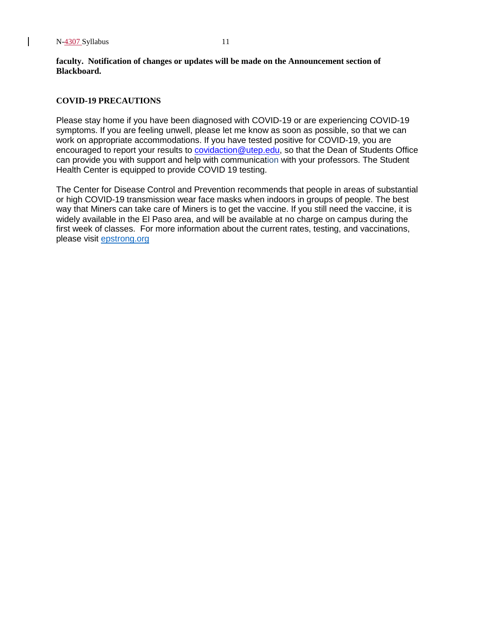**faculty. Notification of changes or updates will be made on the Announcement section of Blackboard.**

#### **COVID-19 PRECAUTIONS**

Please stay home if you have been diagnosed with COVID-19 or are experiencing COVID-19 symptoms. If you are feeling unwell, please let me know as soon as possible, so that we can work on appropriate accommodations. If you have tested positive for COVID-19, you are encouraged to report your results to [covidaction@utep.edu,](mailto:covidaction@utep.edu) so that the Dean of Students Office can provide you with support and help with communication with your professors. The Student Health Center is equipped to provide COVID 19 testing.

The Center for Disease Control and Prevention recommends that people in areas of substantial or high COVID-19 transmission wear face masks when indoors in groups of people. The best way that Miners can take care of Miners is to get the vaccine. If you still need the vaccine, it is widely available in the El Paso area, and will be available at no charge on campus during the first week of classes. For more information about the current rates, testing, and vaccinations, please visit [epstrong.org](https://www.epstrong.org/)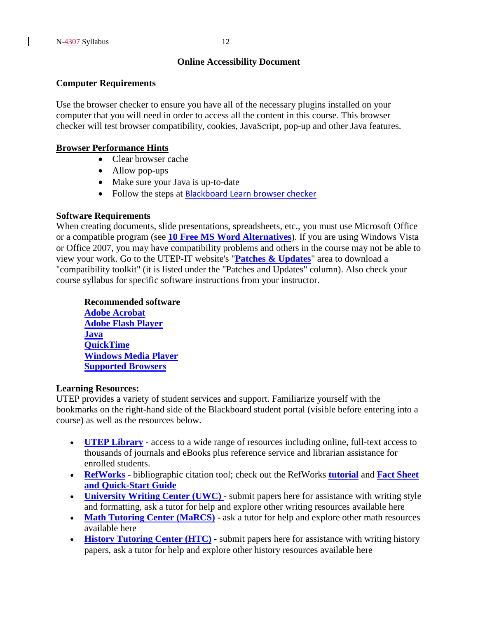## **Online Accessibility Document**

#### **Computer Requirements**

Use the browser checker to ensure you have all of the necessary plugins installed on your computer that you will need in order to access all the content in this course. This browser checker will test browser compatibility, cookies, JavaScript, pop-up and other Java features.

#### **Browser Performance Hints**

- Clear browser cache
- Allow pop-ups
- Make sure your Java is up-to-date
- Follow the steps at [Blackboard Learn browser checker](http://issweb.utep.edu/gettingstarted/browser.html)

#### **Software Requirements**

When creating documents, slide presentations, spreadsheets, etc., you must use Microsoft Office or a compatible program (see **[10 Free MS Word Alternatives](http://www.investintech.com/articles/tenwordalternatives/)**). If you are using Windows Vista or Office 2007, you may have compatibility problems and others in the course may not be able to view your work. Go to the UTEP-IT website's "**[Patches & Updates](http://admin.utep.edu/Default.aspx?tabid=49969)**" area to download a "compatibility toolkit" (it is listed under the "Patches and Updates" column). Also check your course syllabus for specific software instructions from your instructor.

## **Recommended software**

**[Adobe Acrobat](http://get.adobe.com/reader/) [Adobe Flash Player](http://get.adobe.com/flashplayer/) [Java](http://java.com/en/download/index.jsp) [QuickTime](http://www.apple.com/quicktime/download/) [Windows Media Player](http://www.microsoft.com/windows/windowsmedia/player/10/default.aspx) [Supported Browsers](http://issweb.utep.edu/gettingstarted/browser.html)**

#### **Learning Resources:**

UTEP provides a variety of student services and support. Familiarize yourself with the bookmarks on the right-hand side of the Blackboard student portal (visible before entering into a course) as well as the resources below.

- **[UTEP Library](http://libraryweb.utep.edu/online/)** access to a wide range of resources including online, full-text access to thousands of journals and eBooks plus reference service and librarian assistance for enrolled students.
- **[RefWorks](http://0-www.refworks.com.lib.utep.edu/Refworks/login.asp?WNCLang=false)** bibliographic citation tool; check out the RefWorks **[tutorial](http://www.refworks.com/tutorial/)** and **[Fact Sheet](http://www.refworks.com/content/products/content.asp)  [and Quick-Start Guide](http://www.refworks.com/content/products/content.asp)**
- **[University Writing Center](http://academics.utep.edu/Default.aspx?alias=academics.utep.edu/writingcenter) [\(UWC\)](http://academics.utep.edu/Default.aspx?alias=academics.utep.edu/writingcenter)** submit papers here for assistance with writing style and formatting, ask a tutor for help and explore other writing resources available here
- **[Math Tutoring Center \(MaRCS\)](http://academics.utep.edu/Default.aspx?alias=academics.utep.edu/tlc)** ask a tutor for help and explore other math resources available here
- **[History Tutoring Center](http://academics.utep.edu/Default.aspx?tabid=8639) (HTC)** submit papers here for assistance with writing history papers, ask a tutor for help and explore other history resources available here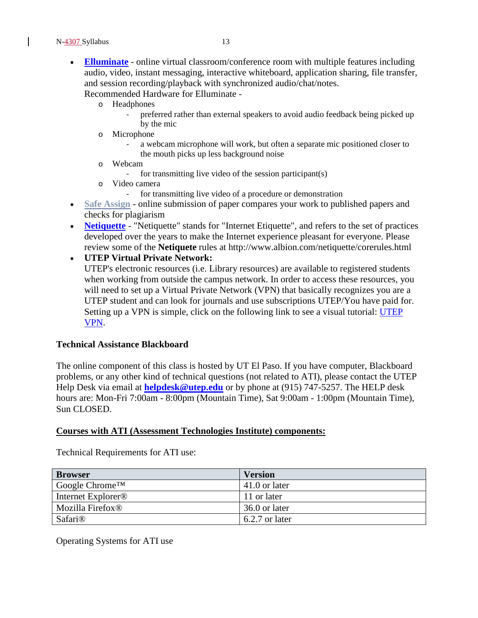• **[Elluminate](http://issweb.utep.edu/home/index.php?option=com_content&view=article&id=142:elluminate&catid=58:too?s&Itemid=348)** - online virtual classroom/conference room with multiple features including audio, video, instant messaging, interactive whiteboard, application sharing, file transfer, and session recording/playback with synchronized audio/chat/notes.

Recommended Hardware for Elluminate -

- o Headphones
	- preferred rather than external speakers to avoid audio feedback being picked up by the mic
- o Microphone
	- a webcam microphone will work, but often a separate mic positioned closer to the mouth picks up less background noise
- o Webcam
	- for transmitting live video of the session participant(s)
- o Video camera
	- for transmitting live video of a procedure or demonstration
- **Safe Assign** online submission of paper compares your work to published papers and checks for plagiarism
- **[Netiquette](http://www.albion.com/netiquette/netiquiz.html)** "Netiquette" stands for "Internet Etiquette", and refers to the set of practices developed over the years to make the Internet experience pleasant for everyone. Please review some of the **Netiquete** rules at http://www.albion.com/netiquette/corerules.html

• **UTEP Virtual Private Network:**

UTEP's electronic resources (i.e. Library resources) are available to registered students when working from outside the campus network. In order to access these resources, you will need to set up a Virtual Private Network (VPN) that basically recognizes you are a UTEP student and can look for journals and use subscriptions UTEP/You have paid for. Setting up a VPN is simple, click on the following link to see a visual tutorial: UTEP [VPN.](http://admin.utep.edu/Default.aspx?tabid=58534)

#### **Technical Assistance Blackboard**

The online component of this class is hosted by UT El Paso. If you have computer, Blackboard problems, or any other kind of technical questions (not related to ATI), please contact the UTEP Help Desk via email at **[helpdesk@utep.edu](mailto:helpdesk@utep.edu)** or by phone at (915) 747-5257. The HELP desk hours are: Mon-Fri 7:00am - 8:00pm (Mountain Time), Sat 9:00am - 1:00pm (Mountain Time), Sun CLOSED.

#### **Courses with ATI (Assessment Technologies Institute) components:**

| <b>Browser</b>                 | <b>Version</b> |
|--------------------------------|----------------|
| Google Chrome <sup>TM</sup>    | 41.0 or later  |
| Internet Explorer <sup>®</sup> | 11 or later    |
| Mozilla Firefox <sup>®</sup>   | 36.0 or later  |
| <b>Safari</b> <sup>®</sup>     | 6.2.7 or later |

Technical Requirements for ATI use:

Operating Systems for ATI use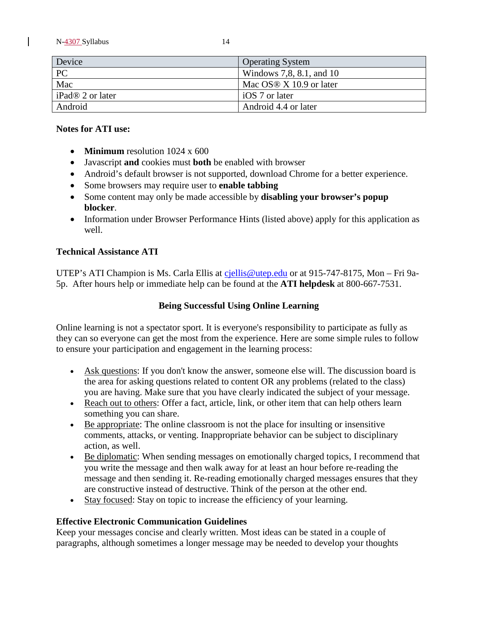N-4307 Syllabus 14

| Device                       | <b>Operating System</b>     |
|------------------------------|-----------------------------|
| PC                           | Windows 7,8, 8.1, and 10    |
| Mac                          | Mac OS $\&$ X 10.9 or later |
| iPad <sup>®</sup> 2 or later | iOS 7 or later              |
| Android                      | Android 4.4 or later        |

#### **Notes for ATI use:**

- **Minimum** resolution 1024 x 600
- Javascript **and** cookies must **both** be enabled with browser
- Android's default browser is not supported, download Chrome for a better experience.
- Some browsers may require user to **enable tabbing**
- Some content may only be made accessible by **disabling your browser's popup blocker**.
- Information under Browser Performance Hints (listed above) apply for this application as well.

#### **Technical Assistance ATI**

UTEP's ATI Champion is Ms. Carla Ellis at [cjellis@utep.edu](mailto:cjellis@utep.edu) or at 915-747-8175, Mon – Fri 9a-5p. After hours help or immediate help can be found at the **ATI helpdesk** at 800-667-7531.

#### **Being Successful Using Online Learning**

Online learning is not a spectator sport. It is everyone's responsibility to participate as fully as they can so everyone can get the most from the experience. Here are some simple rules to follow to ensure your participation and engagement in the learning process:

- Ask questions: If you don't know the answer, someone else will. The discussion board is the area for asking questions related to content OR any problems (related to the class) you are having. Make sure that you have clearly indicated the subject of your message.
- Reach out to others: Offer a fact, article, link, or other item that can help others learn something you can share.
- Be appropriate: The online classroom is not the place for insulting or insensitive comments, attacks, or venting. Inappropriate behavior can be subject to disciplinary action, as well.
- Be diplomatic: When sending messages on emotionally charged topics, I recommend that you write the message and then walk away for at least an hour before re-reading the message and then sending it. Re-reading emotionally charged messages ensures that they are constructive instead of destructive. Think of the person at the other end.
- Stay focused: Stay on topic to increase the efficiency of your learning.

#### **Effective Electronic Communication Guidelines**

Keep your messages concise and clearly written. Most ideas can be stated in a couple of paragraphs, although sometimes a longer message may be needed to develop your thoughts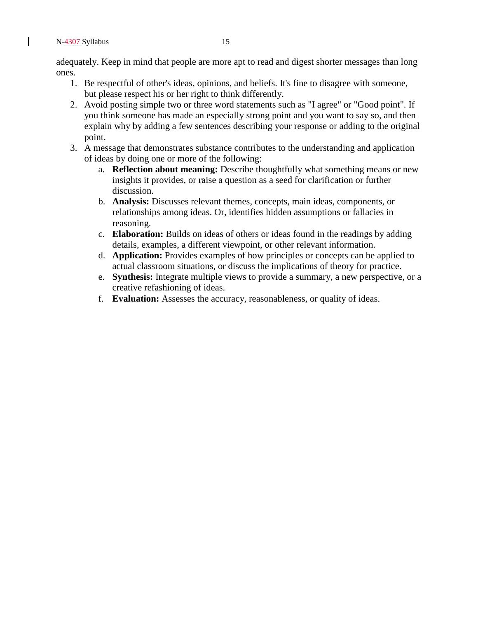adequately. Keep in mind that people are more apt to read and digest shorter messages than long ones.

- 1. Be respectful of other's ideas, opinions, and beliefs. It's fine to disagree with someone, but please respect his or her right to think differently.
- 2. Avoid posting simple two or three word statements such as "I agree" or "Good point". If you think someone has made an especially strong point and you want to say so, and then explain why by adding a few sentences describing your response or adding to the original point.
- 3. A message that demonstrates substance contributes to the understanding and application of ideas by doing one or more of the following:
	- a. **Reflection about meaning:** Describe thoughtfully what something means or new insights it provides, or raise a question as a seed for clarification or further discussion.
	- b. **Analysis:** Discusses relevant themes, concepts, main ideas, components, or relationships among ideas. Or, identifies hidden assumptions or fallacies in reasoning.
	- c. **Elaboration:** Builds on ideas of others or ideas found in the readings by adding details, examples, a different viewpoint, or other relevant information.
	- d. **Application:** Provides examples of how principles or concepts can be applied to actual classroom situations, or discuss the implications of theory for practice.
	- e. **Synthesis:** Integrate multiple views to provide a summary, a new perspective, or a creative refashioning of ideas.
	- f. **Evaluation:** Assesses the accuracy, reasonableness, or quality of ideas.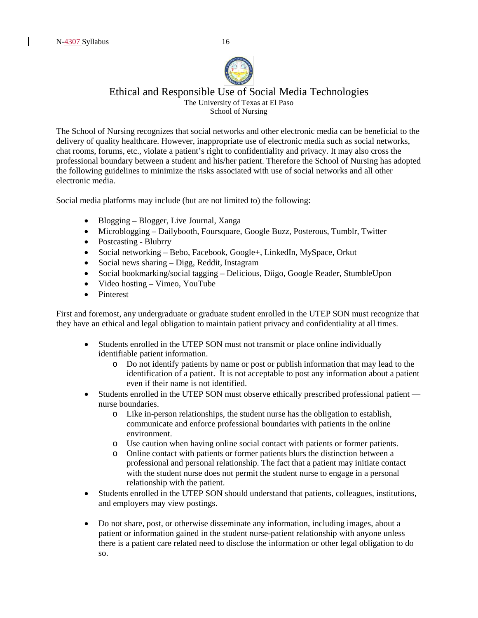

#### Ethical and Responsible Use of Social Media Technologies The University of Texas at El Paso School of Nursing

The School of Nursing recognizes that social networks and other electronic media can be beneficial to the delivery of quality healthcare. However, inappropriate use of electronic media such as social networks, chat rooms, forums, etc., violate a patient's right to confidentiality and privacy. It may also cross the professional boundary between a student and his/her patient. Therefore the School of Nursing has adopted the following guidelines to minimize the risks associated with use of social networks and all other electronic media.

Social media platforms may include (but are not limited to) the following:

- Blogging Blogger, Live Journal, Xanga
- Microblogging Dailybooth, Foursquare, Google Buzz, Posterous, Tumblr, Twitter
- Postcasting Blubrry
- Social networking Bebo, Facebook, Google+, LinkedIn, MySpace, Orkut
- Social news sharing Digg, Reddit, Instagram
- Social bookmarking/social tagging Delicious, Diigo, Google Reader, StumbleUpon
- Video hosting Vimeo, YouTube
- Pinterest

First and foremost, any undergraduate or graduate student enrolled in the UTEP SON must recognize that they have an ethical and legal obligation to maintain patient privacy and confidentiality at all times.

- Students enrolled in the UTEP SON must not transmit or place online individually identifiable patient information.
	- o Do not identify patients by name or post or publish information that may lead to the identification of a patient. It is not acceptable to post any information about a patient even if their name is not identified.
- Students enrolled in the UTEP SON must observe ethically prescribed professional patient nurse boundaries.
	- o Like in-person relationships, the student nurse has the obligation to establish, communicate and enforce professional boundaries with patients in the online environment.
	- o Use caution when having online social contact with patients or former patients.
	- o Online contact with patients or former patients blurs the distinction between a professional and personal relationship. The fact that a patient may initiate contact with the student nurse does not permit the student nurse to engage in a personal relationship with the patient.
- Students enrolled in the UTEP SON should understand that patients, colleagues, institutions, and employers may view postings.
- Do not share, post, or otherwise disseminate any information, including images, about a patient or information gained in the student nurse-patient relationship with anyone unless there is a patient care related need to disclose the information or other legal obligation to do so.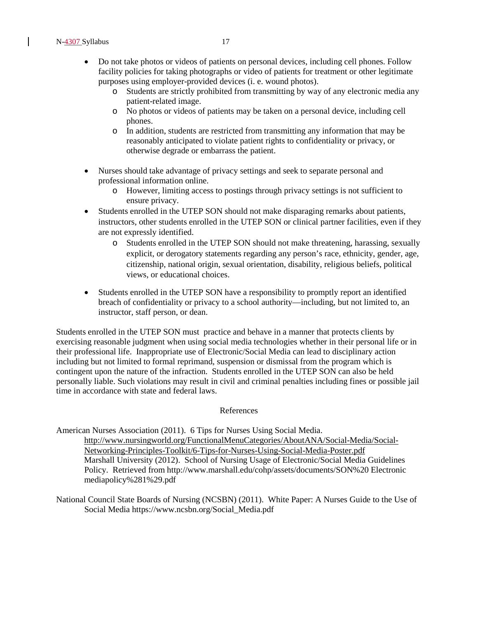- Do not take photos or videos of patients on personal devices, including cell phones. Follow facility policies for taking photographs or video of patients for treatment or other legitimate purposes using employer-provided devices (i. e. wound photos).
	- o Students are strictly prohibited from transmitting by way of any electronic media any patient-related image.
	- o No photos or videos of patients may be taken on a personal device, including cell phones.
	- o In addition, students are restricted from transmitting any information that may be reasonably anticipated to violate patient rights to confidentiality or privacy, or otherwise degrade or embarrass the patient.
- Nurses should take advantage of privacy settings and seek to separate personal and professional information online.
	- o However, limiting access to postings through privacy settings is not sufficient to ensure privacy.
- Students enrolled in the UTEP SON should not make disparaging remarks about patients, instructors, other students enrolled in the UTEP SON or clinical partner facilities, even if they are not expressly identified.
	- o Students enrolled in the UTEP SON should not make threatening, harassing, sexually explicit, or derogatory statements regarding any person's race, ethnicity, gender, age, citizenship, national origin, sexual orientation, disability, religious beliefs, political views, or educational choices.
- Students enrolled in the UTEP SON have a responsibility to promptly report an identified breach of confidentiality or privacy to a school authority—including, but not limited to, an instructor, staff person, or dean.

Students enrolled in the UTEP SON must practice and behave in a manner that protects clients by exercising reasonable judgment when using social media technologies whether in their personal life or in their professional life. Inappropriate use of Electronic/Social Media can lead to disciplinary action including but not limited to formal reprimand, suspension or dismissal from the program which is contingent upon the nature of the infraction. Students enrolled in the UTEP SON can also be held personally liable. Such violations may result in civil and criminal penalties including fines or possible jail time in accordance with state and federal laws.

#### References

American Nurses Association (2011). 6 Tips for Nurses Using Social Media. [http://www.nursingworld.org/FunctionalMenuCategories/AboutANA/Social-Media/Social-](http://www.nursingworld.org/FunctionalMenuCategories/AboutANA/Social-Media/Social-%20%20%0b%20%20%20%20%20%20%20%20%20%20%20%20%20Networking-Principles-Toolkit/6-Tips-for-Nurses-Using-Social-Media-Poster.pdf)   [Networking-Principles-Toolkit/6-Tips-for-Nurses-Using-Social-Media-Poster.pdf](http://www.nursingworld.org/FunctionalMenuCategories/AboutANA/Social-Media/Social-%20%20%0b%20%20%20%20%20%20%20%20%20%20%20%20%20Networking-Principles-Toolkit/6-Tips-for-Nurses-Using-Social-Media-Poster.pdf) Marshall University (2012). School of Nursing Usage of Electronic/Social Media Guidelines Policy. Retrieved from [http://www.marshall.edu/cohp/assets/documents/SON%20](http://www.marshall.edu/cohp/assets/documents/SON) Electronic mediapolicy%281%29.pdf

National Council State Boards of Nursing (NCSBN) (2011). White Paper: A Nurses Guide to the Use of Social Media [https://www.ncsbn.org/Social\\_Media.pdf](https://www.ncsbn.org/Social_Media.pdf)